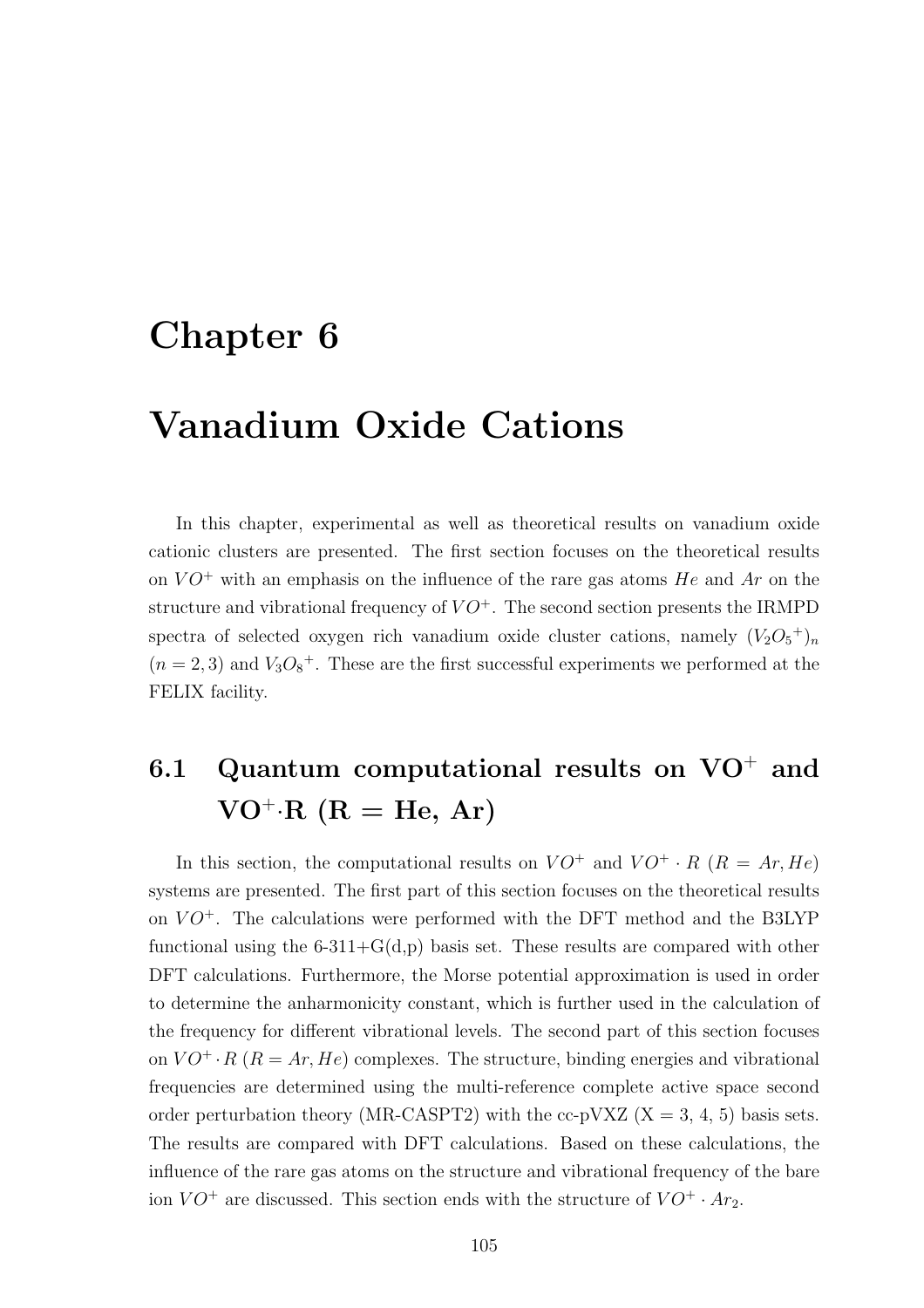# Chapter 6

# Vanadium Oxide Cations

In this chapter, experimental as well as theoretical results on vanadium oxide cationic clusters are presented. The first section focuses on the theoretical results on  $VO^+$  with an emphasis on the influence of the rare gas atoms He and Ar on the structure and vibrational frequency of  $VO^+$ . The second section presents the IRMPD spectra of selected oxygen rich vanadium oxide cluster cations, namely  $(V_2O_5^+)_n$  $(n = 2, 3)$  and  $V_3O_8$ <sup>+</sup>. These are the first successful experiments we performed at the FELIX facility.

# 6.1 Quantum computational results on  $VO^+$  and  $VO^+$ ·R (R = He, Ar)

In this section, the computational results on  $VO^+$  and  $VO^+ \cdot R$  ( $R = Ar, He$ ) systems are presented. The first part of this section focuses on the theoretical results on  $VO^+$ . The calculations were performed with the DFT method and the B3LYP functional using the  $6-311+G(d,p)$  basis set. These results are compared with other DFT calculations. Furthermore, the Morse potential approximation is used in order to determine the anharmonicity constant, which is further used in the calculation of the frequency for different vibrational levels. The second part of this section focuses on  $VO^+ \cdot R$  ( $R = Ar, He$ ) complexes. The structure, binding energies and vibrational frequencies are determined using the multi-reference complete active space second order perturbation theory (MR-CASPT2) with the cc-pVXZ  $(X = 3, 4, 5)$  basis sets. The results are compared with DFT calculations. Based on these calculations, the influence of the rare gas atoms on the structure and vibrational frequency of the bare ion  $VO^+$  are discussed. This section ends with the structure of  $VO^+ \cdot Ar_2$ .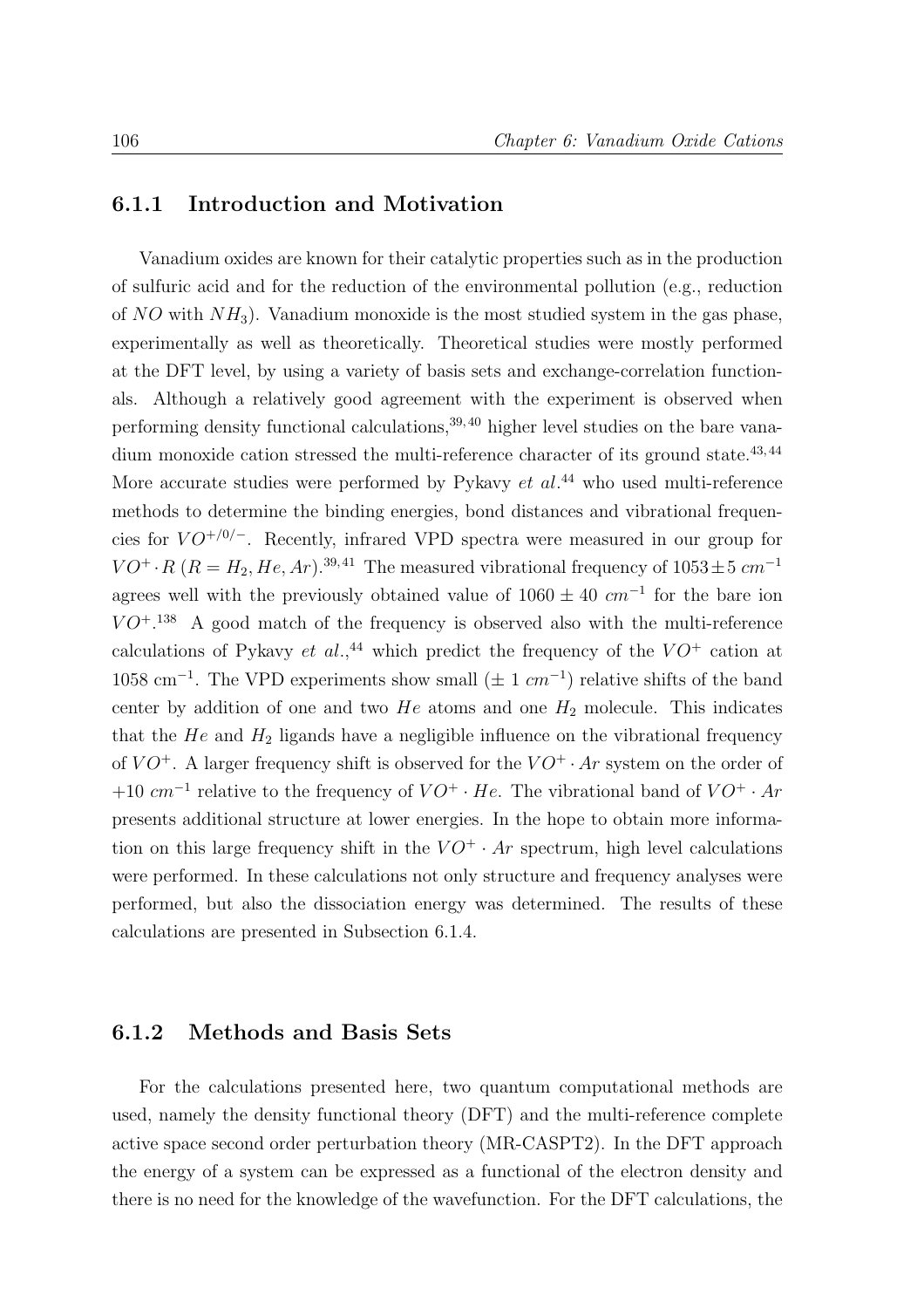#### 6.1.1 Introduction and Motivation

Vanadium oxides are known for their catalytic properties such as in the production of sulfuric acid and for the reduction of the environmental pollution (e.g., reduction of  $NO$  with  $NH<sub>3</sub>$ ). Vanadium monoxide is the most studied system in the gas phase, experimentally as well as theoretically. Theoretical studies were mostly performed at the DFT level, by using a variety of basis sets and exchange-correlation functionals. Although a relatively good agreement with the experiment is observed when performing density functional calculations,  $39, 40$  higher level studies on the bare vanadium monoxide cation stressed the multi-reference character of its ground state.<sup>43,44</sup> More accurate studies were performed by Pykavy  $et \ al.^{44}$  who used multi-reference methods to determine the binding energies, bond distances and vibrational frequencies for  $VO^{+/0/-}$ . Recently, infrared VPD spectra were measured in our group for  $VO^+$  · R ( $R = H_2, He, Ar$ ).<sup>39,41</sup> The measured vibrational frequency of 1053 $\pm$ 5 cm<sup>-1</sup> agrees well with the previously obtained value of  $1060 \pm 40$  cm<sup>-1</sup> for the bare ion  $VO^{+.138}$  A good match of the frequency is observed also with the multi-reference calculations of Pykavy et al.,<sup>44</sup> which predict the frequency of the  $VO^+$  cation at  $1058 \text{ cm}^{-1}$ . The VPD experiments show small ( $\pm 1 \text{ cm}^{-1}$ ) relative shifts of the band center by addition of one and two  $He$  atoms and one  $H_2$  molecule. This indicates that the  $He$  and  $H_2$  ligands have a negligible influence on the vibrational frequency of  $VO^+$ . A larger frequency shift is observed for the  $VO^+ \cdot Ar$  system on the order of +10  $cm^{-1}$  relative to the frequency of  $VO^+ \cdot He$ . The vibrational band of  $VO^+ \cdot Ar$ presents additional structure at lower energies. In the hope to obtain more information on this large frequency shift in the  $VO^+ \cdot Ar$  spectrum, high level calculations were performed. In these calculations not only structure and frequency analyses were performed, but also the dissociation energy was determined. The results of these calculations are presented in Subsection 6.1.4.

#### 6.1.2 Methods and Basis Sets

For the calculations presented here, two quantum computational methods are used, namely the density functional theory (DFT) and the multi-reference complete active space second order perturbation theory (MR-CASPT2). In the DFT approach the energy of a system can be expressed as a functional of the electron density and there is no need for the knowledge of the wavefunction. For the DFT calculations, the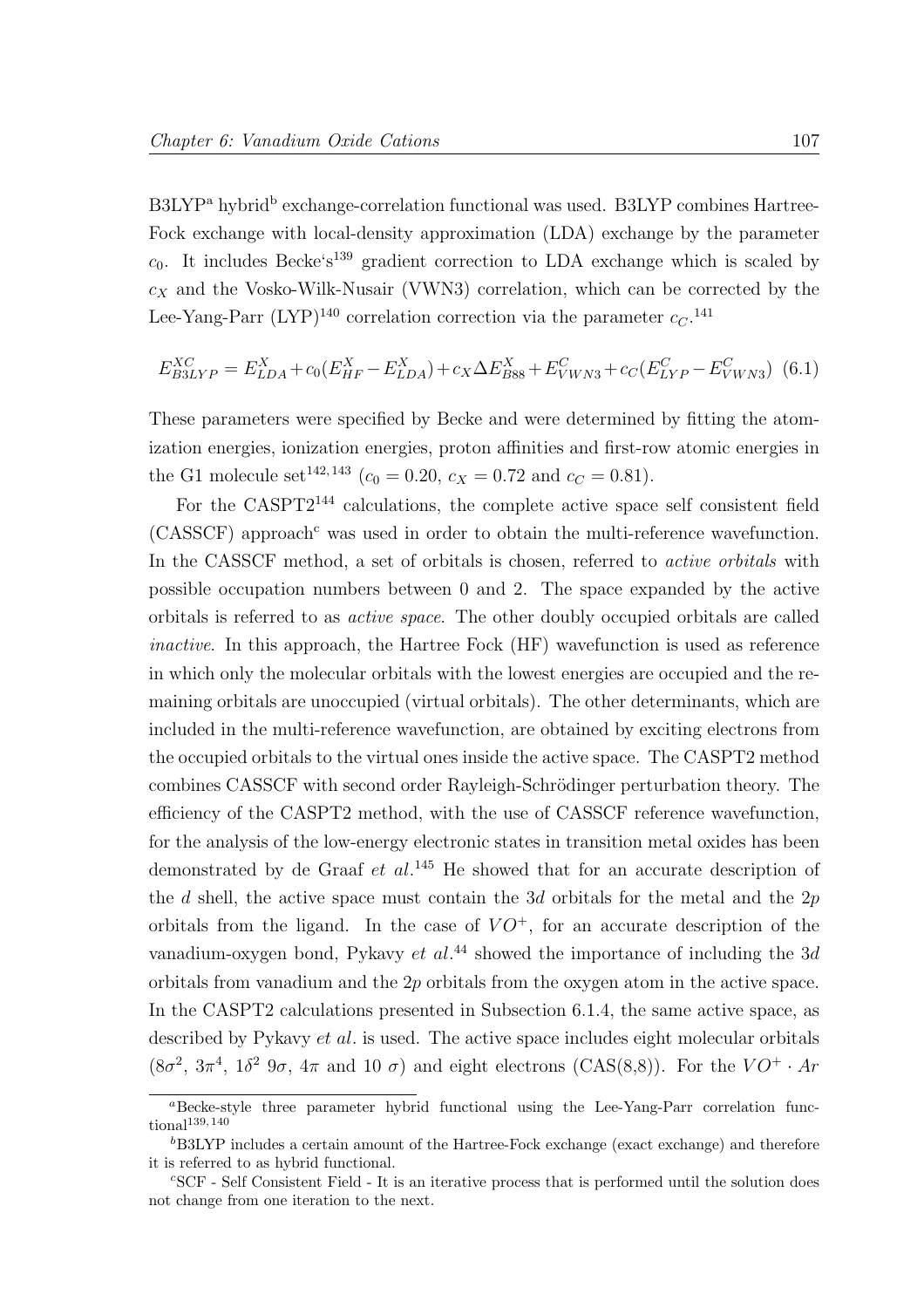B3LYP<sup>a</sup> hybrid<sup>b</sup> exchange-correlation functional was used. B3LYP combines Hartree-Fock exchange with local-density approximation (LDA) exchange by the parameter  $c_0$ . It includes Becke's<sup>139</sup> gradient correction to LDA exchange which is scaled by  $c_X$  and the Vosko-Wilk-Nusair (VWN3) correlation, which can be corrected by the Lee-Yang-Parr (LYP)<sup>140</sup> correlation correction via the parameter  $c_C$ .<sup>141</sup>

$$
E_{B3LYP}^{XC} = E_{LDA}^X + c_0(E_{HF}^X - E_{LDA}^X) + c_X \Delta E_{B88}^X + E_{VWN3}^C + c_C(E_{LYP}^C - E_{VWN3}^C)
$$
 (6.1)

These parameters were specified by Becke and were determined by fitting the atomization energies, ionization energies, proton affinities and first-row atomic energies in the G1 molecule set<sup>142, 143</sup> ( $c_0 = 0.20$ ,  $c_X = 0.72$  and  $c_C = 0.81$ ).

For the CASPT2<sup>144</sup> calculations, the complete active space self consistent field  $(CASSCF)$  approach<sup>c</sup> was used in order to obtain the multi-reference wavefunction. In the CASSCF method, a set of orbitals is chosen, referred to *active orbitals* with possible occupation numbers between 0 and 2. The space expanded by the active orbitals is referred to as active space. The other doubly occupied orbitals are called inactive. In this approach, the Hartree Fock (HF) wavefunction is used as reference in which only the molecular orbitals with the lowest energies are occupied and the remaining orbitals are unoccupied (virtual orbitals). The other determinants, which are included in the multi-reference wavefunction, are obtained by exciting electrons from the occupied orbitals to the virtual ones inside the active space. The CASPT2 method combines CASSCF with second order Rayleigh-Schrödinger perturbation theory. The efficiency of the CASPT2 method, with the use of CASSCF reference wavefunction, for the analysis of the low-energy electronic states in transition metal oxides has been demonstrated by de Graaf  $et$   $al.^{145}$  He showed that for an accurate description of the d shell, the active space must contain the 3d orbitals for the metal and the  $2p$ orbitals from the ligand. In the case of  $VO^+$ , for an accurate description of the vanadium-oxygen bond, Pykavy et  $al^{44}$  showed the importance of including the 3d orbitals from vanadium and the 2p orbitals from the oxygen atom in the active space. In the CASPT2 calculations presented in Subsection 6.1.4, the same active space, as described by Pykavy *et al.* is used. The active space includes eight molecular orbitals  $(8\sigma^2, 3\pi^4, 1\delta^2, 9\sigma, 4\pi, 10\sigma)$  and eight electrons  $(CAS(8,8))$ . For the  $VO^+ \cdot Ar$ 

 $a<sup>a</sup>Becke-style three parameter hybrid functional using the Lee-Yang-Parr correlation function.$  $\text{tional}^{139,140}$ 

 ${}^{b}$ B3LYP includes a certain amount of the Hartree-Fock exchange (exact exchange) and therefore it is referred to as hybrid functional.

<sup>c</sup>SCF - Self Consistent Field - It is an iterative process that is performed until the solution does not change from one iteration to the next.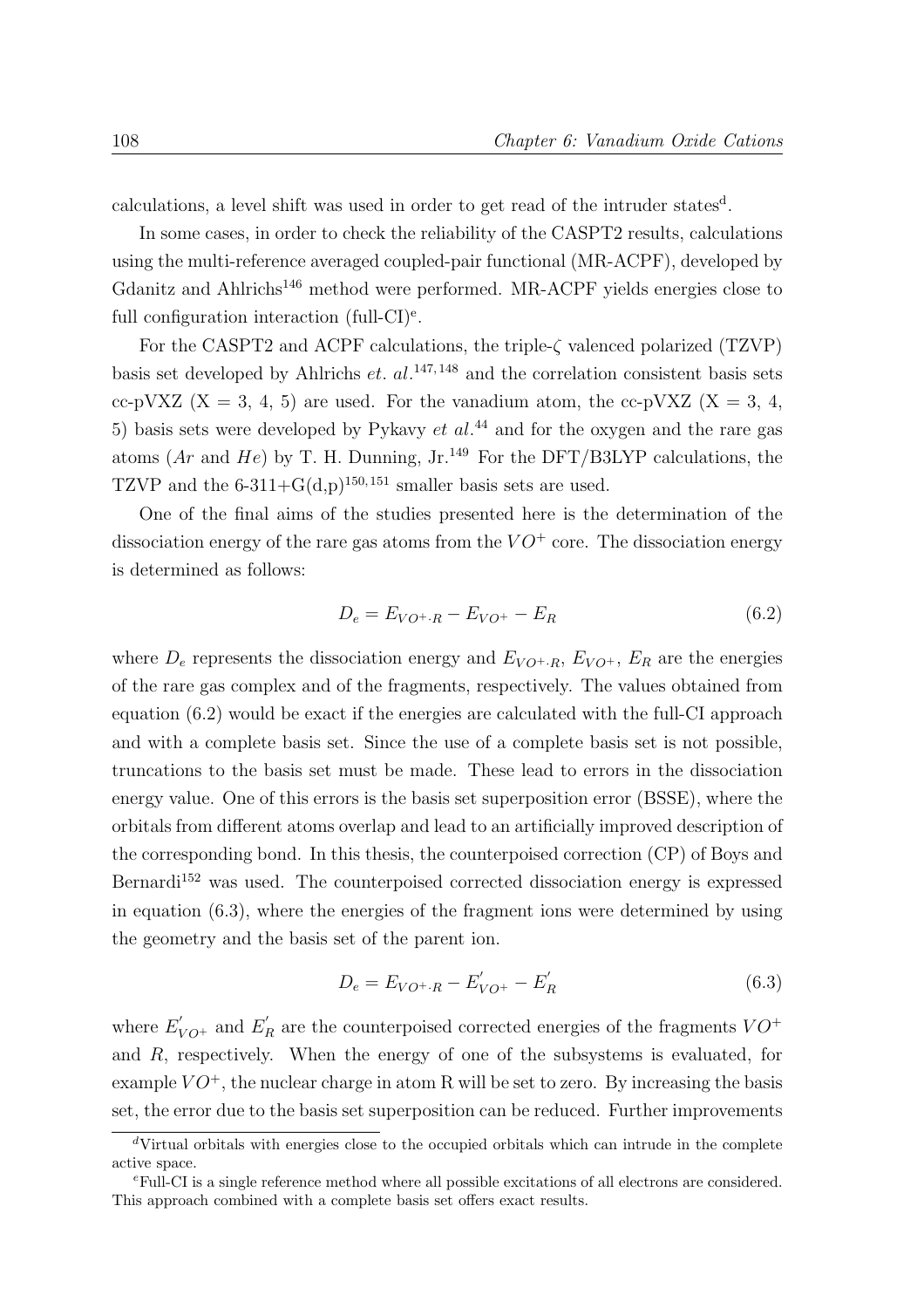calculations, a level shift was used in order to get read of the intruder states<sup>d</sup>.

In some cases, in order to check the reliability of the CASPT2 results, calculations using the multi-reference averaged coupled-pair functional (MR-ACPF), developed by Gdanitz and Ahlrichs<sup>146</sup> method were performed. MR-ACPF yields energies close to full configuration interaction (full-CI)<sup>e</sup>.

For the CASPT2 and ACPF calculations, the triple-ζ valenced polarized (TZVP) basis set developed by Ahlrichs et.  $al$ .<sup>147, 148</sup> and the correlation consistent basis sets cc-pVXZ  $(X = 3, 4, 5)$  are used. For the vanadium atom, the cc-pVXZ  $(X = 3, 4, 5)$ 5) basis sets were developed by Pykavy  $et\ al.<sup>44</sup>$  and for the oxygen and the rare gas atoms (Ar and He) by T. H. Dunning, Jr.<sup>149</sup> For the DFT/B3LYP calculations, the TZVP and the  $6-311+G(d,p)^{150,151}$  smaller basis sets are used.

One of the final aims of the studies presented here is the determination of the dissociation energy of the rare gas atoms from the  $VO^+$  core. The dissociation energy is determined as follows:

$$
D_e = E_{VO^+ \cdot R} - E_{VO^+} - E_R \tag{6.2}
$$

where  $D_e$  represents the dissociation energy and  $E_{VO^+,R}$ ,  $E_{VO^+}$ ,  $E_R$  are the energies of the rare gas complex and of the fragments, respectively. The values obtained from equation (6.2) would be exact if the energies are calculated with the full-CI approach and with a complete basis set. Since the use of a complete basis set is not possible, truncations to the basis set must be made. These lead to errors in the dissociation energy value. One of this errors is the basis set superposition error (BSSE), where the orbitals from different atoms overlap and lead to an artificially improved description of the corresponding bond. In this thesis, the counterpoised correction (CP) of Boys and Bernardi<sup>152</sup> was used. The counterpoised corrected dissociation energy is expressed in equation (6.3), where the energies of the fragment ions were determined by using the geometry and the basis set of the parent ion.

$$
D_e = E_{VO^+,R} - E'_{VO^+} - E'_R \tag{6.3}
$$

where  $E'_{VO^+}$  and  $E'_R$  are the counterpoised corrected energies of the fragments  $VO^+$ and R, respectively. When the energy of one of the subsystems is evaluated, for example  $VO^+$ , the nuclear charge in atom R will be set to zero. By increasing the basis set, the error due to the basis set superposition can be reduced. Further improvements

 $dV$ irtual orbitals with energies close to the occupied orbitals which can intrude in the complete active space.

<sup>e</sup>Full-CI is a single reference method where all possible excitations of all electrons are considered. This approach combined with a complete basis set offers exact results.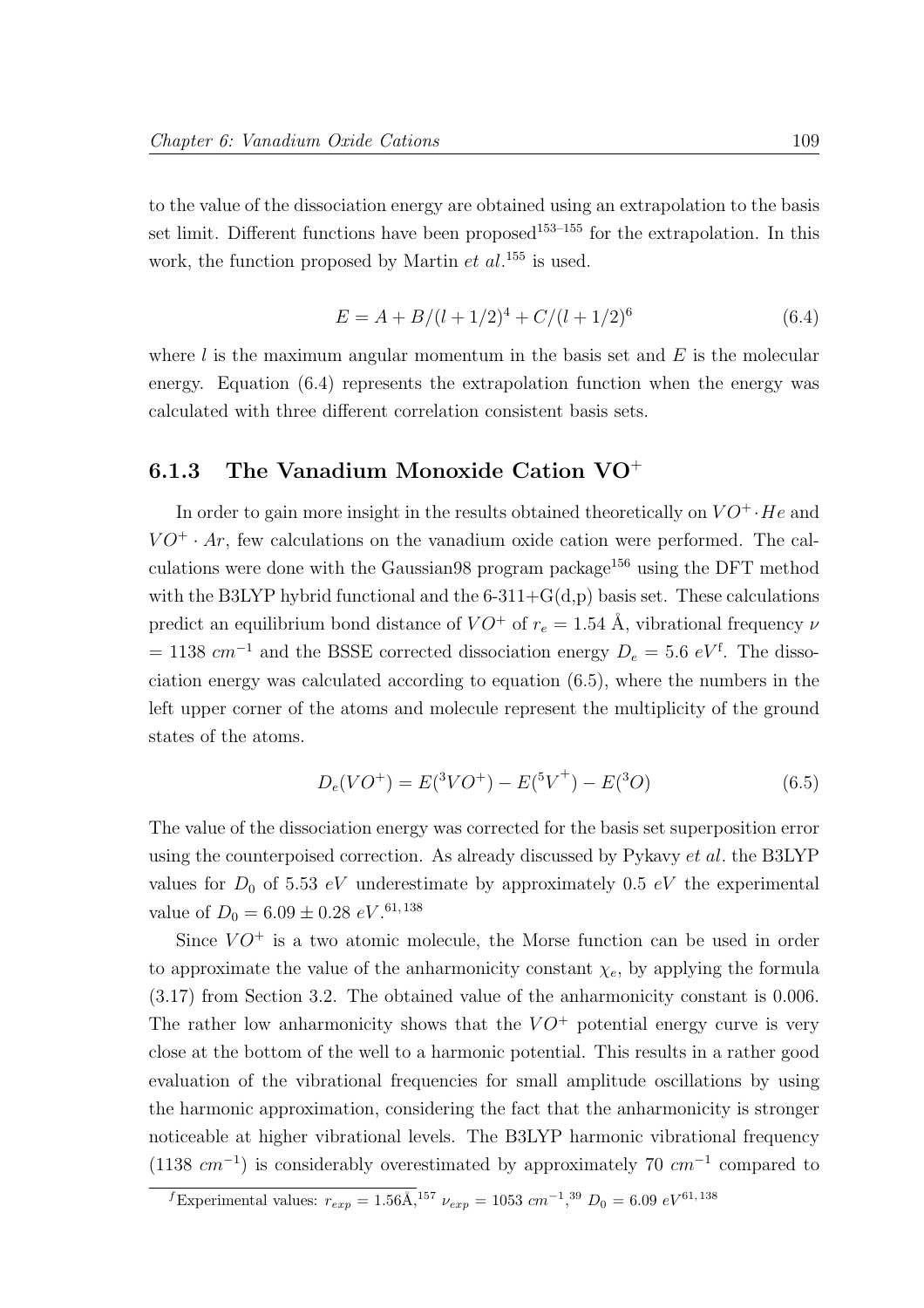to the value of the dissociation energy are obtained using an extrapolation to the basis set limit. Different functions have been proposed<sup>153–155</sup> for the extrapolation. In this work, the function proposed by Martin  $et \ al$ <sup>155</sup> is used.

$$
E = A + B/(l + 1/2)^4 + C/(l + 1/2)^6
$$
\n(6.4)

where  $l$  is the maximum angular momentum in the basis set and  $E$  is the molecular energy. Equation (6.4) represents the extrapolation function when the energy was calculated with three different correlation consistent basis sets.

# 6.1.3 The Vanadium Monoxide Cation VO<sup>+</sup>

In order to gain more insight in the results obtained theoretically on  $VO^+ \cdot He$  and  $VO^+ \cdot Ar$ , few calculations on the vanadium oxide cation were performed. The calculations were done with the Gaussian98 program package<sup>156</sup> using the DFT method with the B3LYP hybrid functional and the  $6-311+G(d,p)$  basis set. These calculations predict an equilibrium bond distance of  $VO^+$  of  $r_e = 1.54$  Å, vibrational frequency  $\nu$  $= 1138$  cm<sup>-1</sup> and the BSSE corrected dissociation energy  $D_e = 5.6 \, eV^f$ . The dissociation energy was calculated according to equation (6.5), where the numbers in the left upper corner of the atoms and molecule represent the multiplicity of the ground states of the atoms.

$$
D_e(VO^+) = E(^3VO^+) - E(^5V^+) - E(^3O)
$$
\n(6.5)

The value of the dissociation energy was corrected for the basis set superposition error using the counterpoised correction. As already discussed by Pykavy et al. the B3LYP values for  $D_0$  of 5.53 eV underestimate by approximately 0.5 eV the experimental value of  $D_0 = 6.09 \pm 0.28 \ eV.$ <sup>61, 138</sup>

Since  $VO^+$  is a two atomic molecule, the Morse function can be used in order to approximate the value of the anharmonicity constant  $\chi_e$ , by applying the formula (3.17) from Section 3.2. The obtained value of the anharmonicity constant is 0.006. The rather low anharmonicity shows that the  $VO^+$  potential energy curve is very close at the bottom of the well to a harmonic potential. This results in a rather good evaluation of the vibrational frequencies for small amplitude oscillations by using the harmonic approximation, considering the fact that the anharmonicity is stronger noticeable at higher vibrational levels. The B3LYP harmonic vibrational frequency  $(1138 cm<sup>-1</sup>)$  is considerably overestimated by approximately 70  $cm<sup>-1</sup>$  compared to

<sup>&</sup>lt;sup>f</sup>Experimental values:  $r_{exp} = 1.56 \text{\AA},^{157} \nu_{exp} = 1053 \text{ cm}^{-1},^{39} \text{ D}_0 = 6.09 \text{ eV}^{61,138}$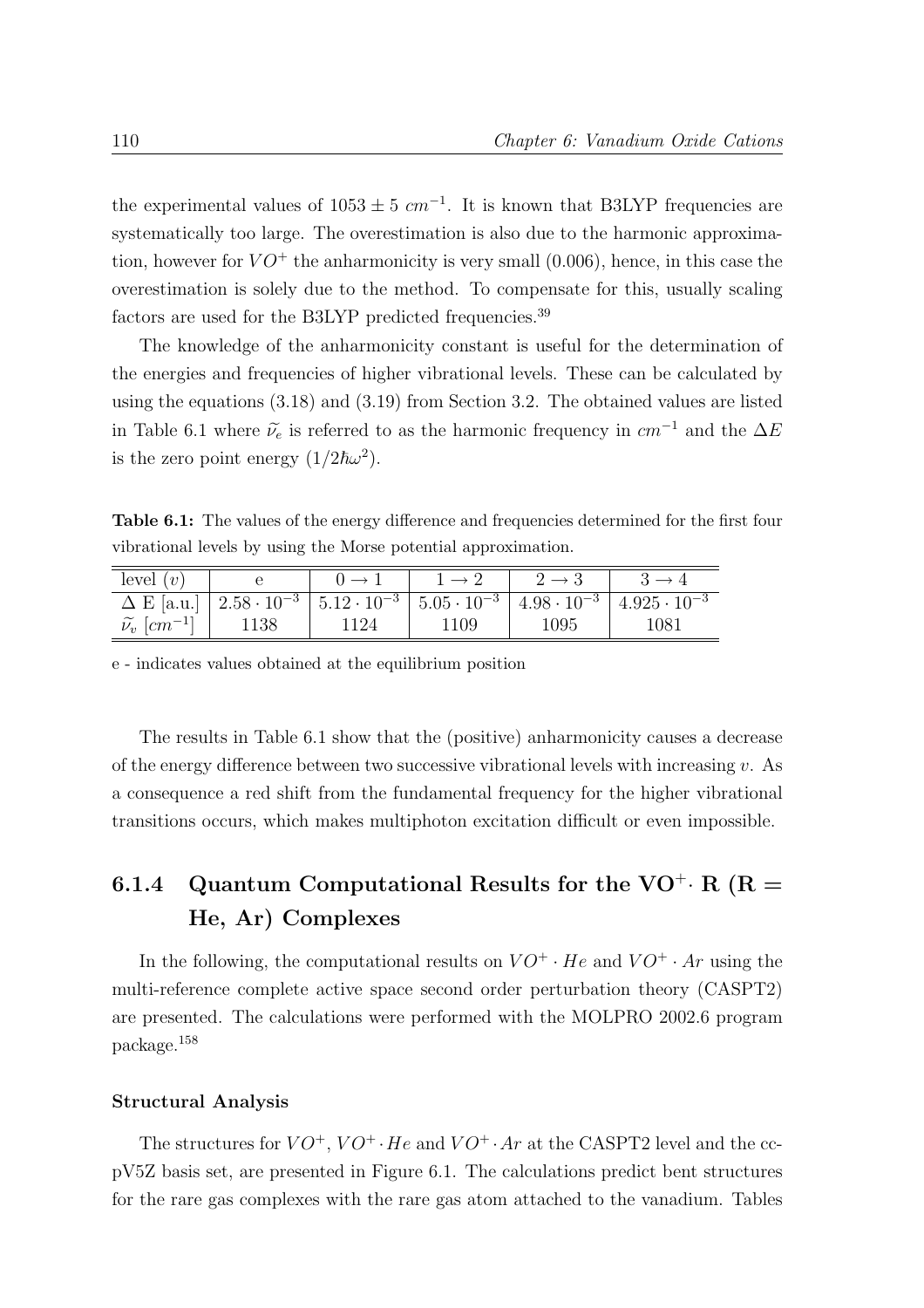the experimental values of  $1053 \pm 5$   $cm^{-1}$ . It is known that B3LYP frequencies are systematically too large. The overestimation is also due to the harmonic approximation, however for  $VO^+$  the anharmonicity is very small  $(0.006)$ , hence, in this case the overestimation is solely due to the method. To compensate for this, usually scaling factors are used for the B3LYP predicted frequencies.<sup>39</sup>

The knowledge of the anharmonicity constant is useful for the determination of the energies and frequencies of higher vibrational levels. These can be calculated by using the equations (3.18) and (3.19) from Section 3.2. The obtained values are listed in Table 6.1 where  $\tilde{\nu}_e$  is referred to as the harmonic frequency in  $cm^{-1}$  and the  $\Delta E$ is the zero point energy  $(1/2\hbar\omega^2)$ .

Table 6.1: The values of the energy difference and frequencies determined for the first four vibrational levels by using the Morse potential approximation.

| level $(v)$                             |      |      |      |                                                                                                                             |
|-----------------------------------------|------|------|------|-----------------------------------------------------------------------------------------------------------------------------|
|                                         |      |      |      | $\Delta E$ [a.u.] $2.58 \cdot 10^{-3}$ $5.12 \cdot 10^{-3}$ $5.05 \cdot 10^{-3}$ $4.98 \cdot 10^{-3}$ $4.925 \cdot 10^{-3}$ |
| $\widetilde{\nu_v}$ [cm <sup>-1</sup> ] | 1138 | 1109 | 1095 | 1081                                                                                                                        |

e - indicates values obtained at the equilibrium position

The results in Table 6.1 show that the (positive) anharmonicity causes a decrease of the energy difference between two successive vibrational levels with increasing  $v$ . As a consequence a red shift from the fundamental frequency for the higher vibrational transitions occurs, which makes multiphoton excitation difficult or even impossible.

## 6.1.4 Quantum Computational Results for the VO<sup>+</sup>· R (R = He, Ar) Complexes

In the following, the computational results on  $VO^+ \cdot He$  and  $VO^+ \cdot Ar$  using the multi-reference complete active space second order perturbation theory (CASPT2) are presented. The calculations were performed with the MOLPRO 2002.6 program package.<sup>158</sup>

#### Structural Analysis

The structures for  $VO^+$ ,  $VO^+$  · He and  $VO^+$  · Ar at the CASPT2 level and the ccpV5Z basis set, are presented in Figure 6.1. The calculations predict bent structures for the rare gas complexes with the rare gas atom attached to the vanadium. Tables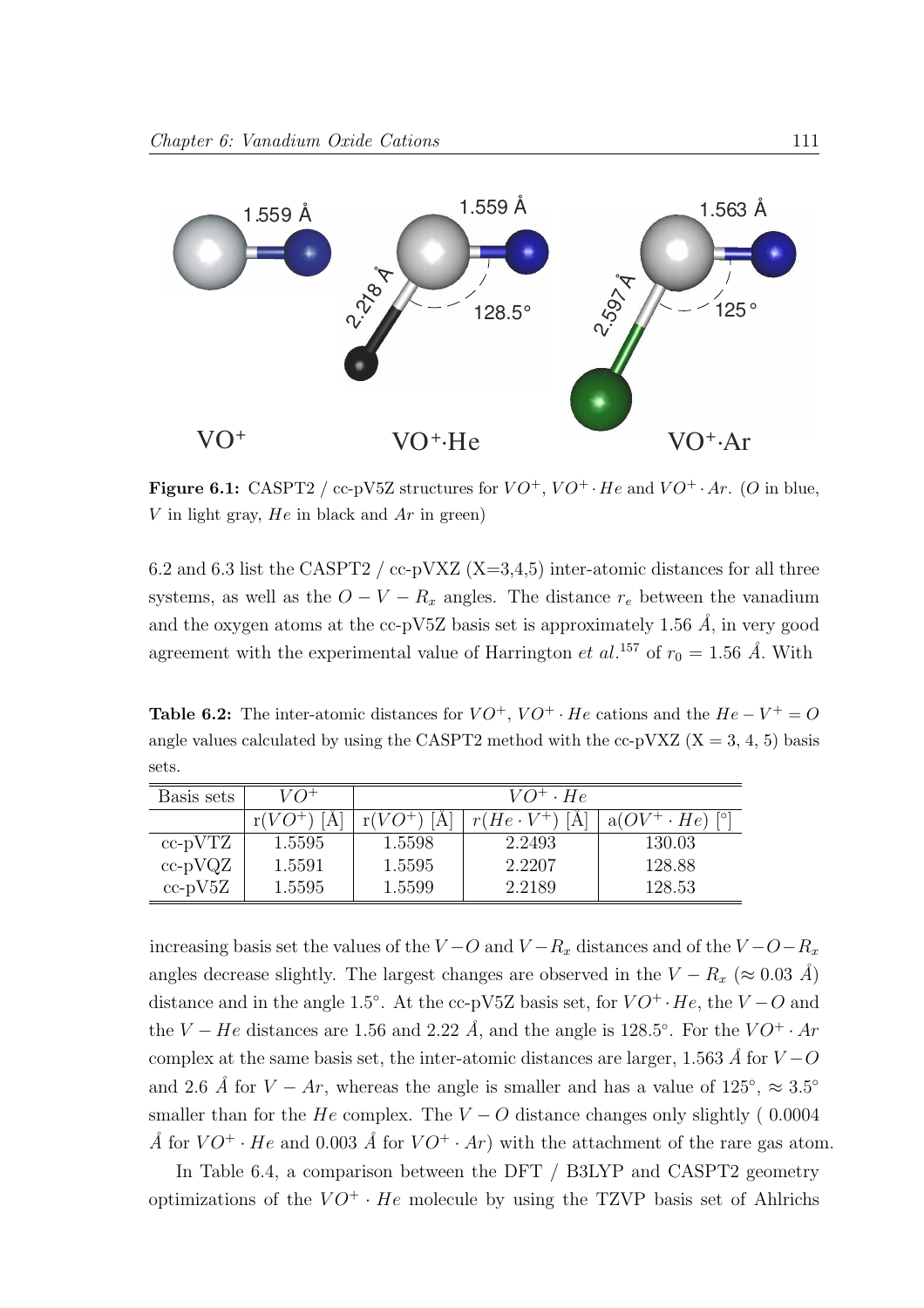

**Figure 6.1:** CASPT2 / cc-pV5Z structures for  $VO^+$ ,  $VO^+$  · He and  $VO^+$  · Ar. (O in blue, V in light gray,  $He$  in black and  $Ar$  in green)

6.2 and 6.3 list the CASPT2 / cc-pVXZ  $(X=3,4,5)$  inter-atomic distances for all three systems, as well as the  $O - V - R_x$  angles. The distance  $r_e$  between the vanadium and the oxygen atoms at the cc-pV5Z basis set is approximately 1.56  $\AA$ , in very good agreement with the experimental value of Harrington et al.<sup>157</sup> of  $r_0 = 1.56 \text{ Å}$ . With

**Table 6.2:** The inter-atomic distances for  $VO^+$ ,  $VO^+ \cdot He$  cations and the  $He - V^+ = O$ angle values calculated by using the CASPT2 method with the cc-pVXZ  $(X = 3, 4, 5)$  basis sets.

| Basis sets    | $V\Omega^+$ | $VO^+ \cdot He$ |                   |                        |
|---------------|-------------|-----------------|-------------------|------------------------|
|               | $r(VO^+$    | $r(VO^+$        | $r(He \cdot V^+)$ | $a(OV^+ \cdot He)$ [°] |
| $cc$ -p $VTZ$ | 1.5595      | 1.5598          | 2.2493            | 130.03                 |
| $cc$ -p $VQZ$ | 1.5591      | 1.5595          | 2.2207            | 128.88                 |
| $cc$ -p $V5Z$ | 1.5595      | 1.5599          | 2.2189            | 128.53                 |

increasing basis set the values of the  $V - O$  and  $V - R_x$  distances and of the  $V - O - R_x$ angles decrease slightly. The largest changes are observed in the  $V - R_x \approx 0.03 \text{ Å}$ distance and in the angle 1.5°. At the cc-pV5Z basis set, for  $VO^+ \cdot He$ , the  $V-O$  and the  $V - He$  distances are 1.56 and 2.22  $Å$ , and the angle is 128.5°. For the  $VO^+ \cdot Ar$ complex at the same basis set, the inter-atomic distances are larger, 1.563 Å for  $V - O$ and 2.6 Å for  $V - Ar$ , whereas the angle is smaller and has a value of  $125^{\circ}$ ,  $\approx 3.5^{\circ}$ smaller than for the He complex. The  $V - O$  distance changes only slightly (0.0004 Å for  $VO^+ \cdot He$  and 0.003 Å for  $VO^+ \cdot Ar$ ) with the attachment of the rare gas atom.

In Table 6.4, a comparison between the DFT / B3LYP and CASPT2 geometry optimizations of the  $VO^+ \cdot He$  molecule by using the TZVP basis set of Ahlrichs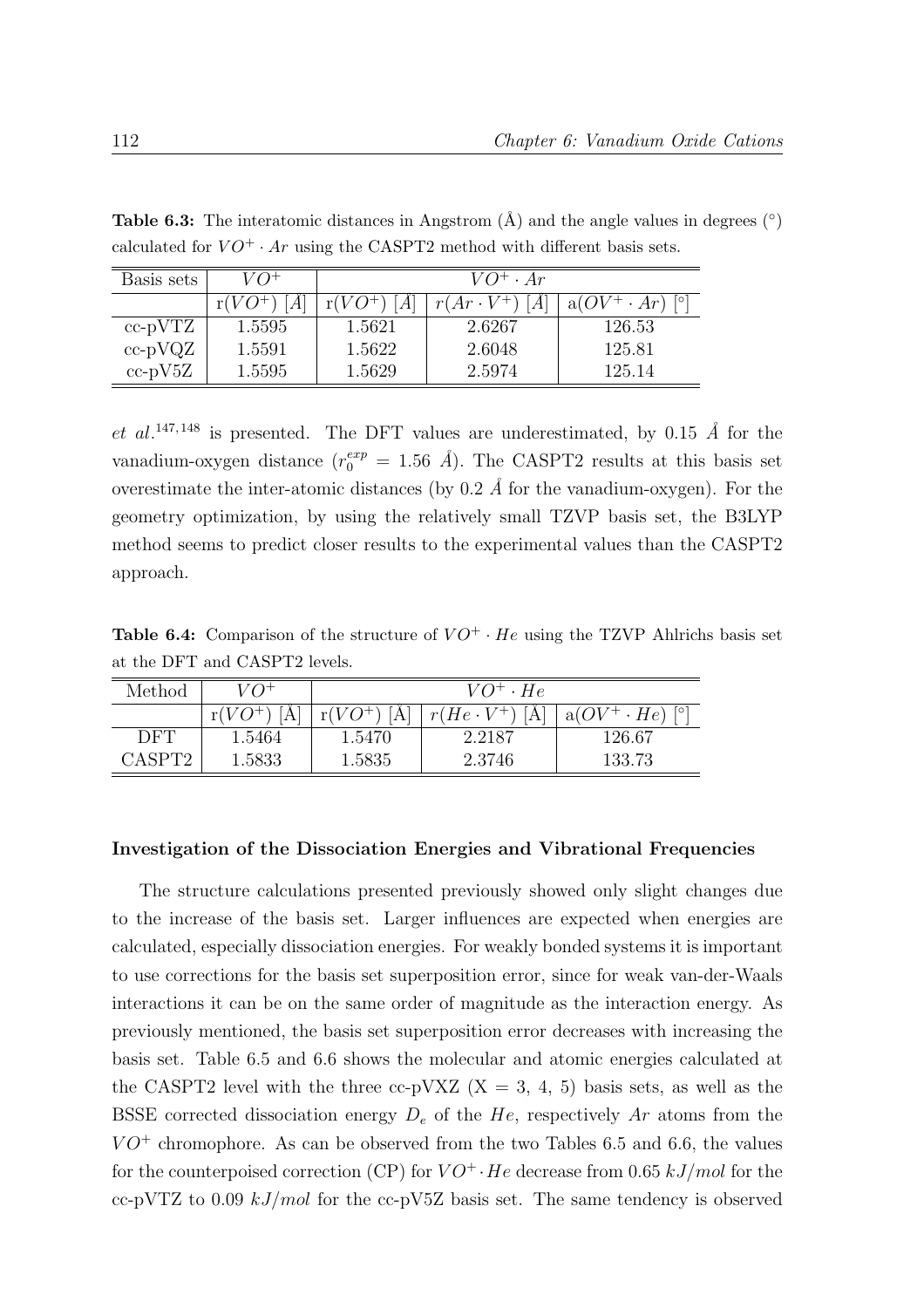| Basis sets    | $V\Omega^+$ | $VO^+ \cdot Ar$  |                  |                                   |
|---------------|-------------|------------------|------------------|-----------------------------------|
|               | $r(VO^+)$   | $r(VO^+)$<br>[A] | $r(Ar\cdot V^+)$ | $a(OV^+ \cdot Ar)$ <sup>[o]</sup> |
| cc-pVTZ       | 1.5595      | 1.5621           | 2.6267           | 126.53                            |
| $cc$ -p $VQZ$ | 1.5591      | 1.5622           | 2.6048           | 125.81                            |
| $cc$ -p $V5Z$ | 1.5595      | 1.5629           | 2.5974           | 125.14                            |

**Table 6.3:** The interatomic distances in Angstrom  $(\hat{A})$  and the angle values in degrees  $(\circ)$ calculated for  $VO^+ \cdot Ar$  using the CASPT2 method with different basis sets.

et al.<sup>147, 148</sup> is presented. The DFT values are underestimated, by 0.15 Å for the vanadium-oxygen distance  $(r_0^{exp} = 1.56 \text{ Å})$ . The CASPT2 results at this basis set overestimate the inter-atomic distances (by 0.2  $\AA$  for the vanadium-oxygen). For the geometry optimization, by using the relatively small TZVP basis set, the B3LYP method seems to predict closer results to the experimental values than the CASPT2 approach.

**Table 6.4:** Comparison of the structure of  $VO^+ \cdot He$  using the TZVP Ahlrichs basis set at the DFT and CASPT2 levels.

| Method             | $V\Omega^+$ | $VO^+ \cdot He$  |                         |                                  |
|--------------------|-------------|------------------|-------------------------|----------------------------------|
|                    | $r(VO^+)$   | $r(VO^+)$<br>[A] | $r(He \cdot V^+)$<br> A | $\perp$ a( $OV^+ \cdot He$ ) [°] |
| DFT                | 1.5464      | 1.5470           | 2.2187                  | 126.67                           |
| CASPT <sub>2</sub> | 1.5833      | 1.5835           | 2.3746                  | 133.73                           |

#### Investigation of the Dissociation Energies and Vibrational Frequencies

The structure calculations presented previously showed only slight changes due to the increase of the basis set. Larger influences are expected when energies are calculated, especially dissociation energies. For weakly bonded systems it is important to use corrections for the basis set superposition error, since for weak van-der-Waals interactions it can be on the same order of magnitude as the interaction energy. As previously mentioned, the basis set superposition error decreases with increasing the basis set. Table 6.5 and 6.6 shows the molecular and atomic energies calculated at the CASPT2 level with the three cc-pVXZ  $(X = 3, 4, 5)$  basis sets, as well as the BSSE corrected dissociation energy  $D_e$  of the He, respectively Ar atoms from the  $VO^+$  chromophore. As can be observed from the two Tables 6.5 and 6.6, the values for the counterpoised correction (CP) for  $VO^+$  · He decrease from 0.65 kJ/mol for the cc-pVTZ to 0.09  $kJ/mol$  for the cc-pV5Z basis set. The same tendency is observed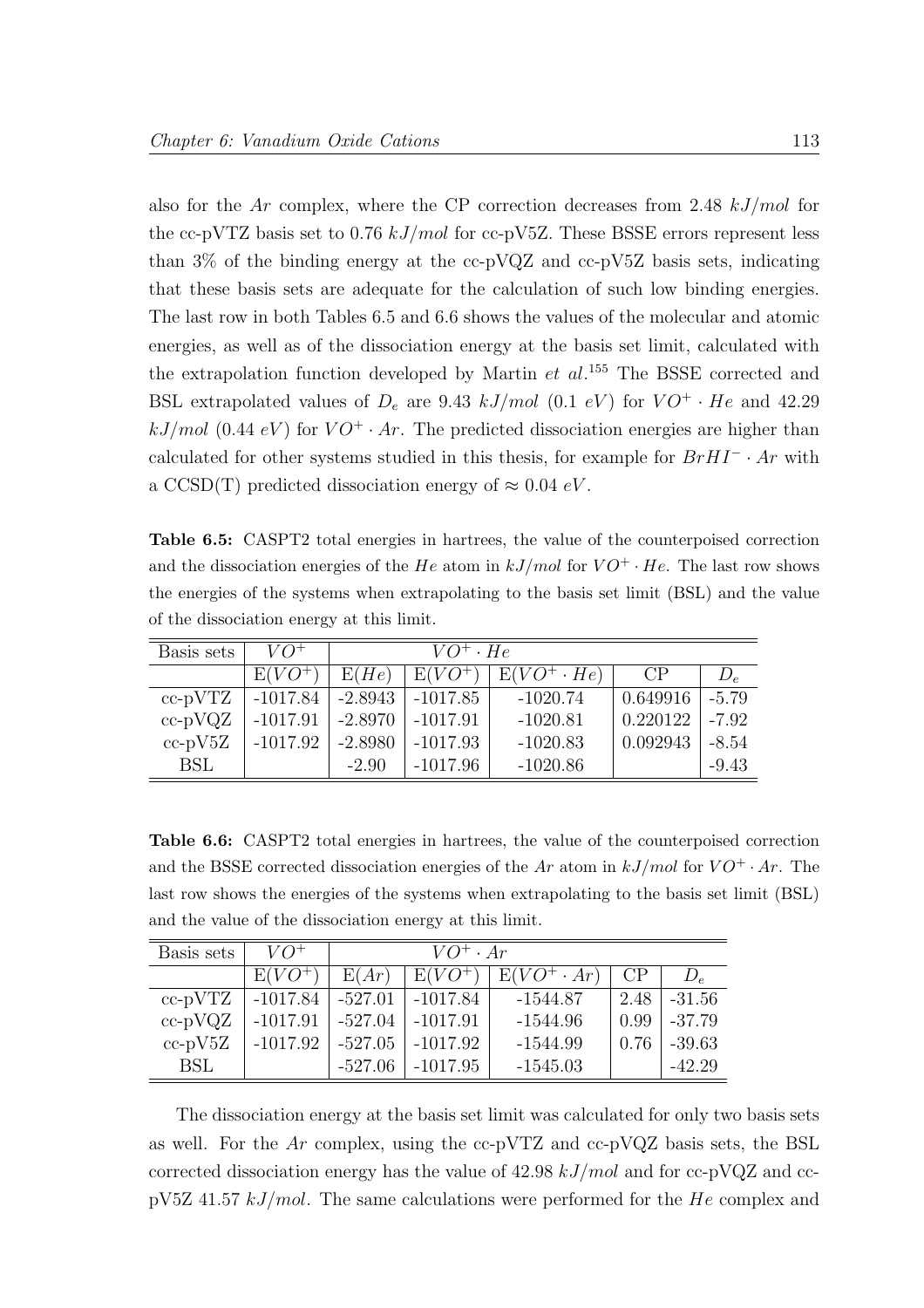also for the Ar complex, where the CP correction decreases from 2.48  $kJ/mol$  for the cc-pVTZ basis set to 0.76  $kJ/mol$  for cc-pV5Z. These BSSE errors represent less than  $3\%$  of the binding energy at the cc-pVQZ and cc-pV5Z basis sets, indicating that these basis sets are adequate for the calculation of such low binding energies. The last row in both Tables 6.5 and 6.6 shows the values of the molecular and atomic energies, as well as of the dissociation energy at the basis set limit, calculated with the extrapolation function developed by Martin  $et \ al$ <sup>155</sup>. The BSSE corrected and BSL extrapolated values of  $D_e$  are 9.43 kJ/mol (0.1 eV) for  $VO^+ \cdot He$  and 42.29  $kJ/mol$  (0.44 eV) for  $VO^+ \cdot Ar$ . The predicted dissociation energies are higher than calculated for other systems studied in this thesis, for example for  $BrHI^- \cdot Ar$  with a CCSD(T) predicted dissociation energy of  $\approx 0.04 \text{ eV}$ .

Table 6.5: CASPT2 total energies in hartrees, the value of the counterpoised correction and the dissociation energies of the He atom in  $kJ/mol$  for  $VO^+ \cdot He$ . The last row shows the energies of the systems when extrapolating to the basis set limit (BSL) and the value of the dissociation energy at this limit.

| Basis sets    | $VO^+$     |           | $VO^+ \cdot He$ |                   |          |         |
|---------------|------------|-----------|-----------------|-------------------|----------|---------|
|               | $E(VO^+)$  | E(He)     | $E(VO^+$        | $E(VO^+\cdot He)$ | CP       | $D_e$   |
| $cc$ -p $VTZ$ | $-1017.84$ | $-2.8943$ | -1017.85        | $-1020.74$        | 0.649916 | $-5.79$ |
| $cc-pVQZ$     | $-1017.91$ | $-2.8970$ | -1017.91        | $-1020.81$        | 0.220122 | $-7.92$ |
| $cc$ -p $V5Z$ | $-1017.92$ | $-2.8980$ | $-1017.93$      | $-1020.83$        | 0.092943 | $-8.54$ |
| <b>BSL</b>    |            | $-2.90$   | $-1017.96$      | $-1020.86$        |          | $-9.43$ |

Table 6.6: CASPT2 total energies in hartrees, the value of the counterpoised correction and the BSSE corrected dissociation energies of the Ar atom in  $kJ/mol$  for  $VO^+ \cdot Ar$ . The last row shows the energies of the systems when extrapolating to the basis set limit (BSL) and the value of the dissociation energy at this limit.

| Basis sets    | $VO^+$                 | $VO^+ \cdot Ar$ |                        |                   |      |            |
|---------------|------------------------|-----------------|------------------------|-------------------|------|------------|
|               | $E(VO^+)$              | E(Ar)           | $E(VO^+)$              | $E(VO^+\cdot Ar)$ | CP   | $D_{\rho}$ |
| $cc$ -p $VTZ$ | $-1017.84$             | $ -527.01 $     | $ -1017.84 $           | -1544.87          | 2.48 | $-31.56$   |
| $cc-pVQZ$     | $-1017.91$   $-527.04$ |                 | $\vert -1017.91 \vert$ | $-1544.96$        | 0.99 | $-37.79$   |
| $cc$ -p $V5Z$ | $-1017.92$             | -527.05         | -1017.92               | $-1544.99$        | 0.76 | $-39.63$   |
| <b>BSL</b>    |                        | $-527.06$       | $-1017.95$             | $-1545.03$        |      | $-42.29$   |

The dissociation energy at the basis set limit was calculated for only two basis sets as well. For the Ar complex, using the  $cc$ -pVTZ and  $cc$ -pVQZ basis sets, the BSL corrected dissociation energy has the value of  $42.98 \; kJ/mol$  and for cc-pVQZ and cc $pV5Z$  41.57 kJ/mol. The same calculations were performed for the He complex and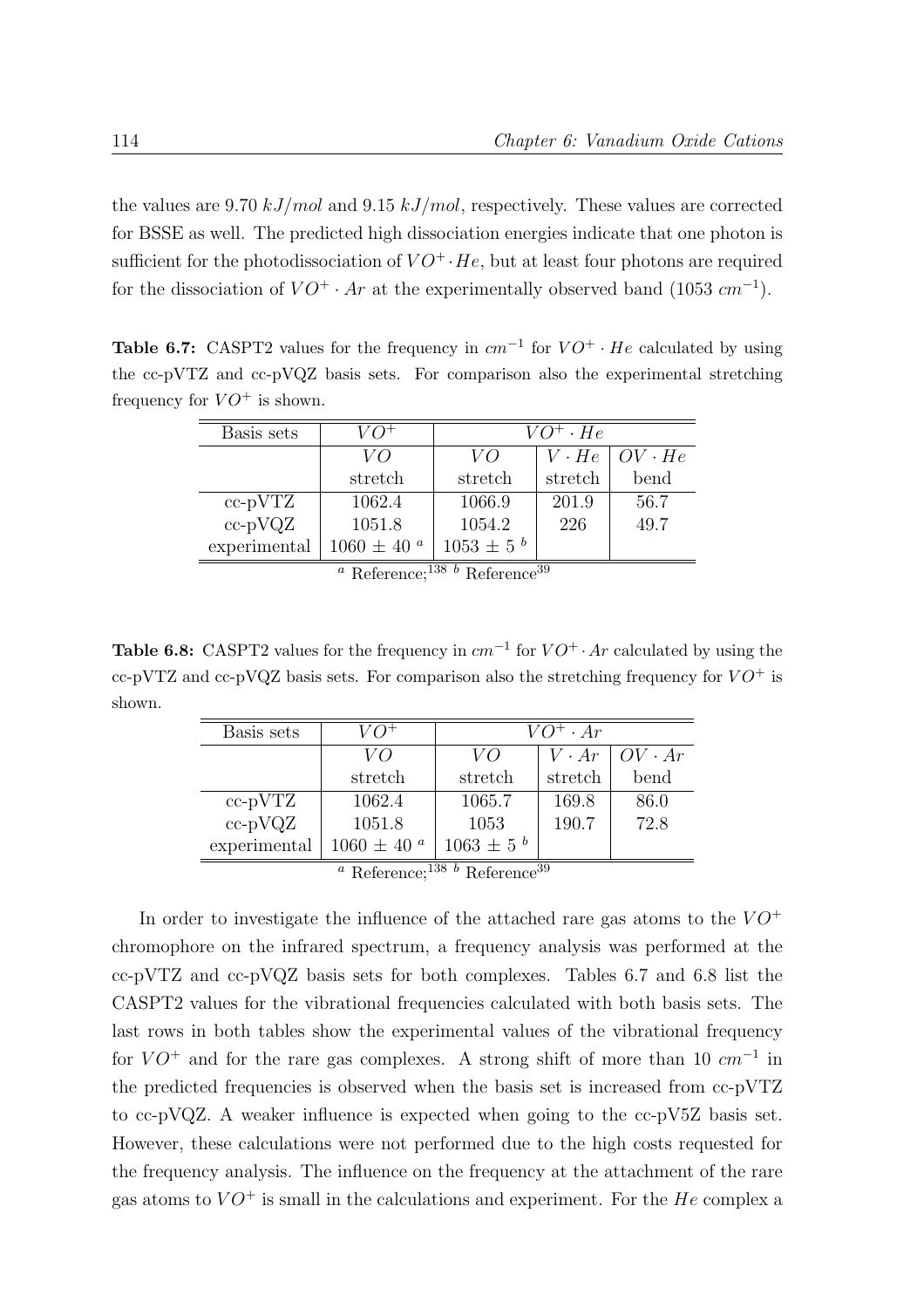the values are 9.70  $kJ/mol$  and 9.15  $kJ/mol$ , respectively. These values are corrected for BSSE as well. The predicted high dissociation energies indicate that one photon is sufficient for the photodissociation of  $VO^+ \cdot He$ , but at least four photons are required for the dissociation of  $VO^+ \cdot Ar$  at the experimentally observed band (1053  $cm^{-1}$ ).

**Table 6.7:** CASPT2 values for the frequency in  $cm^{-1}$  for  $VO^+ \cdot He$  calculated by using the cc-pVTZ and cc-pVQZ basis sets. For comparison also the experimental stretching frequency for  $VO^+$  is shown.

| Basis sets    |                       |                  | $VO^+ \cdot He$    |               |
|---------------|-----------------------|------------------|--------------------|---------------|
|               | VO                    | VO               | $V \cdot He \perp$ | $OV \cdot He$ |
|               | stretch               | stretch          | stretch            | bend          |
| $cc$ -p $VTZ$ | 1062.4                | 1066.9           | 201.9              | 56.7          |
| $cc$ -p $VQZ$ | 1051.8                | 1054.2           | 226                | 49.7          |
| experimental  | $1060 \pm 40^{\circ}$ | $1053 \pm 5^{b}$ |                    |               |
|               | $a \nightharpoonup c$ | 138 h m c        | 39                 |               |

Reference:<sup>150</sup> <sup>b</sup> Reference

**Table 6.8:** CASPT2 values for the frequency in  $cm^{-1}$  for  $VO^+ \cdot Ar$  calculated by using the cc-pVTZ and cc-pVQZ basis sets. For comparison also the stretching frequency for  $VO^+$  is shown.

| Basis sets                                                                     |                    |                  | $VO^+ \cdot Ar$ |               |  |
|--------------------------------------------------------------------------------|--------------------|------------------|-----------------|---------------|--|
|                                                                                | VO                 | VO               | $V \cdot Ar$    | $OV \cdot Ar$ |  |
|                                                                                | stretch            | stretch          | stretch         | bend          |  |
| $cc$ -p $VTZ$                                                                  | 1062.4             | 1065.7           | 169.8           | 86.0          |  |
| $cc$ -p $VQZ$                                                                  | 1051.8             | 1053             | 190.7           | 72.8          |  |
| experimental                                                                   | 1060 $\pm$ 40 $^a$ | $1063 \pm 5^{b}$ |                 |               |  |
| <sup><i>a</i></sup> Reference; <sup>138</sup> <i>b</i> Reference <sup>39</sup> |                    |                  |                 |               |  |

In order to investigate the influence of the attached rare gas atoms to the  $VO^+$ chromophore on the infrared spectrum, a frequency analysis was performed at the cc-pVTZ and cc-pVQZ basis sets for both complexes. Tables 6.7 and 6.8 list the CASPT2 values for the vibrational frequencies calculated with both basis sets. The last rows in both tables show the experimental values of the vibrational frequency for  $VO^+$  and for the rare gas complexes. A strong shift of more than 10  $cm^{-1}$  in the predicted frequencies is observed when the basis set is increased from cc-pVTZ to cc-pVQZ. A weaker influence is expected when going to the cc-pV5Z basis set. However, these calculations were not performed due to the high costs requested for the frequency analysis. The influence on the frequency at the attachment of the rare gas atoms to  $VO^+$  is small in the calculations and experiment. For the He complex a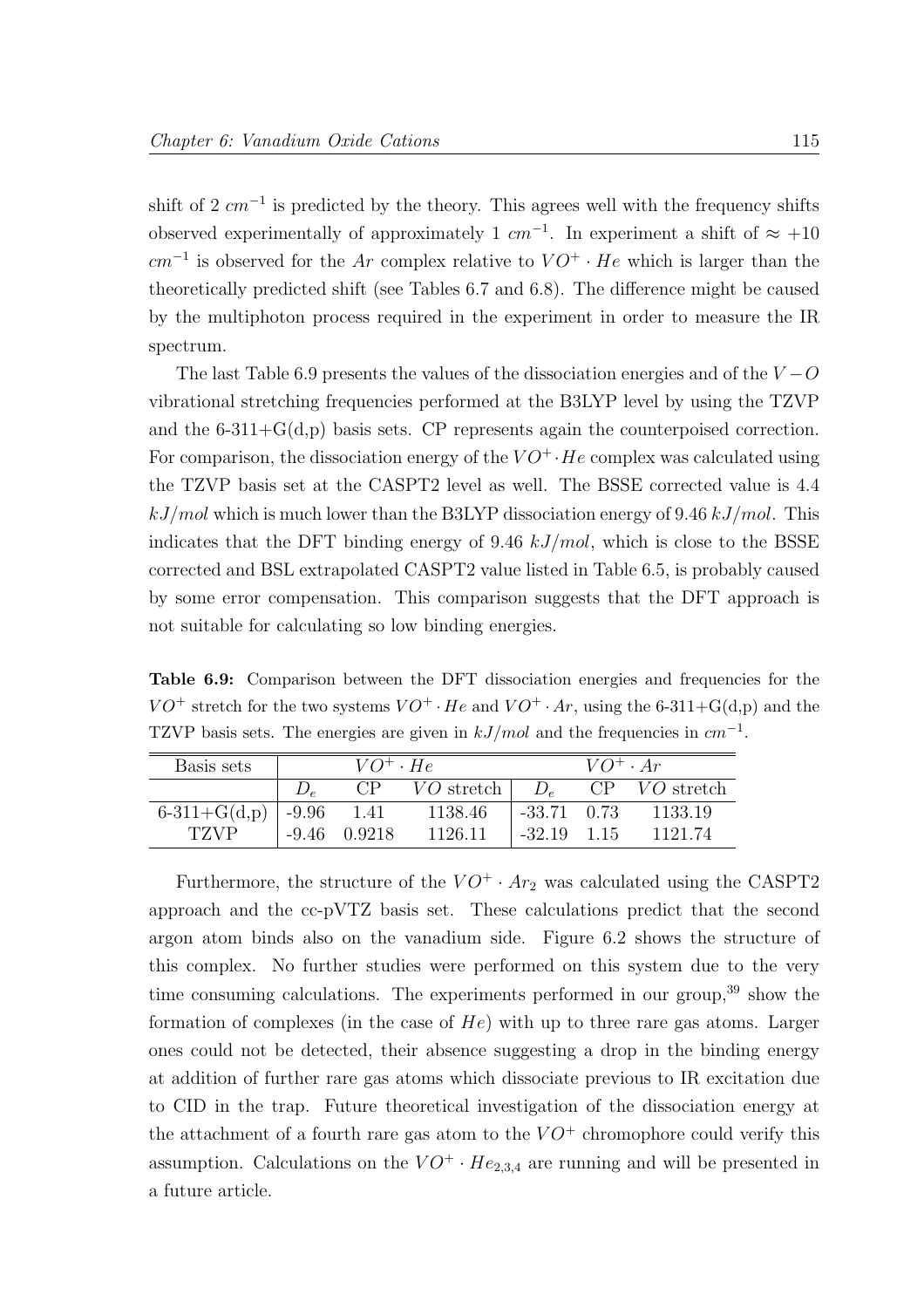shift of 2  $cm^{-1}$  is predicted by the theory. This agrees well with the frequency shifts observed experimentally of approximately 1  $cm^{-1}$ . In experiment a shift of  $\approx +10$  $cm^{-1}$  is observed for the Ar complex relative to  $VO^+ \cdot He$  which is larger than the theoretically predicted shift (see Tables 6.7 and 6.8). The difference might be caused by the multiphoton process required in the experiment in order to measure the IR spectrum.

The last Table 6.9 presents the values of the dissociation energies and of the  $V - O$ vibrational stretching frequencies performed at the B3LYP level by using the TZVP and the  $6-311+\mathcal{G}(d,p)$  basis sets. CP represents again the counterpoised correction. For comparison, the dissociation energy of the  $VO^+$  · He complex was calculated using the TZVP basis set at the CASPT2 level as well. The BSSE corrected value is 4.4  $kJ/mol$  which is much lower than the B3LYP dissociation energy of 9.46 kJ/mol. This indicates that the DFT binding energy of 9.46  $kJ/mol$ , which is close to the BSSE corrected and BSL extrapolated CASPT2 value listed in Table 6.5, is probably caused by some error compensation. This comparison suggests that the DFT approach is not suitable for calculating so low binding energies.

Table 6.9: Comparison between the DFT dissociation energies and frequencies for the  $VO^+$  stretch for the two systems  $VO^+ \cdot He$  and  $VO^+ \cdot Ar$ , using the 6-311+G(d,p) and the TZVP basis sets. The energies are given in  $kJ/mol$  and the frequencies in  $cm^{-1}$ .

| Basis sets     |         | $VO^+ \cdot He^-$ |                         |                 | $VO^+ \cdot Ar$ |                   |
|----------------|---------|-------------------|-------------------------|-----------------|-----------------|-------------------|
|                |         | CP                | $VO$ stretch $\mid D_e$ |                 |                 | $CP$ $VO$ stretch |
| $6-311+G(d,p)$ | $-9.96$ | 1.41              | 1138.46                 | $-33.71$ 0.73   |                 | 1133.19           |
| <b>TZVP</b>    |         | $-9.46$ 0.9218    | 1126.11                 | $-32.19$ $1.15$ |                 | 1121.74           |

Furthermore, the structure of the  $VO^+ \cdot Ar_2$  was calculated using the CASPT2 approach and the cc-pVTZ basis set. These calculations predict that the second argon atom binds also on the vanadium side. Figure 6.2 shows the structure of this complex. No further studies were performed on this system due to the very time consuming calculations. The experiments performed in our group,  $39$  show the formation of complexes (in the case of  $He$ ) with up to three rare gas atoms. Larger ones could not be detected, their absence suggesting a drop in the binding energy at addition of further rare gas atoms which dissociate previous to IR excitation due to CID in the trap. Future theoretical investigation of the dissociation energy at the attachment of a fourth rare gas atom to the  $VO^+$  chromophore could verify this assumption. Calculations on the  $VO^+ \cdot He_{2,3,4}$  are running and will be presented in a future article.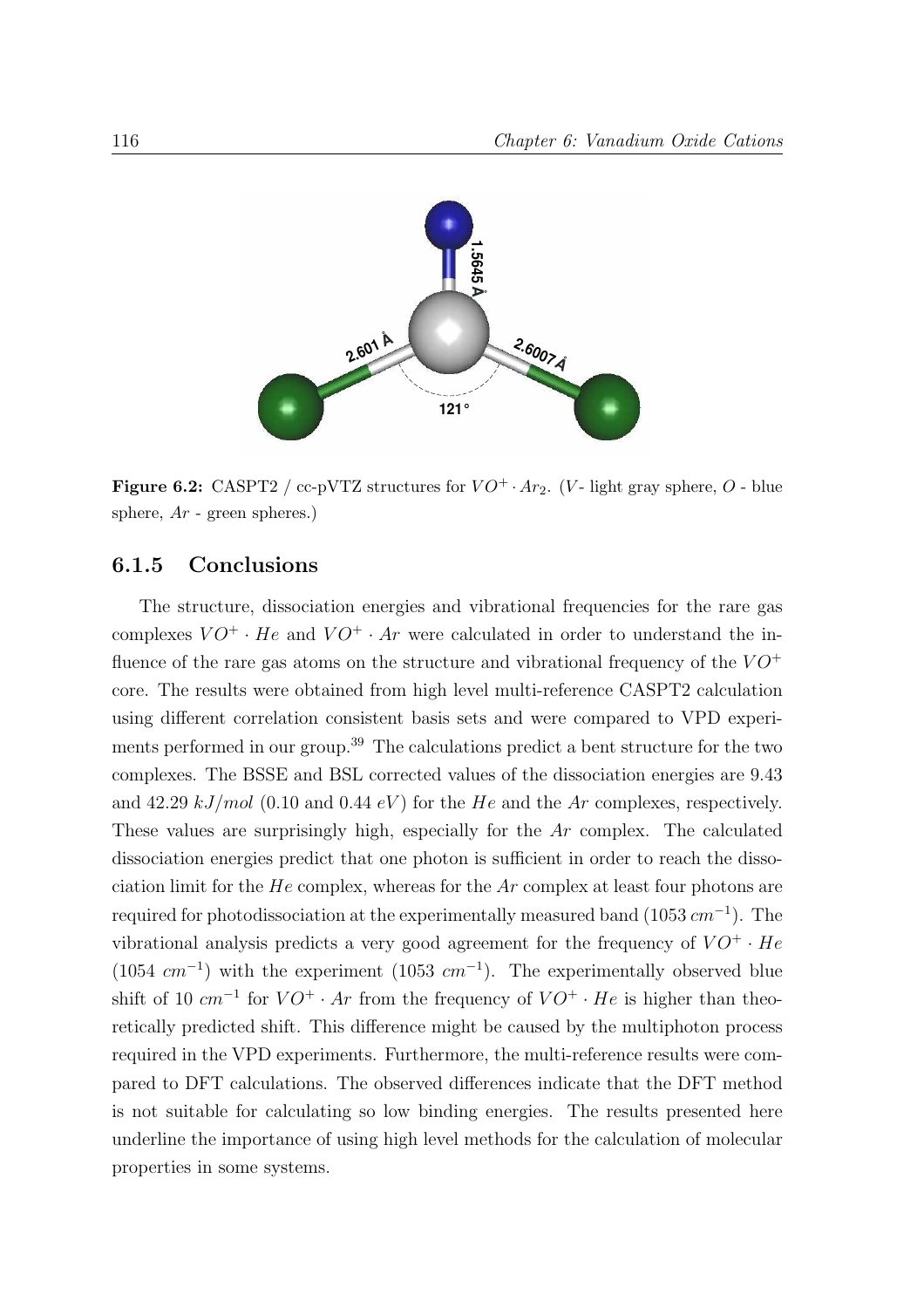

Figure 6.2: CASPT2 / cc-pVTZ structures for  $VO^+ \cdot Ar_2$ . (V- light gray sphere, O - blue sphere,  $Ar$  - green spheres.)

#### 6.1.5 Conclusions

The structure, dissociation energies and vibrational frequencies for the rare gas complexes  $VO^+ \cdot He$  and  $VO^+ \cdot Ar$  were calculated in order to understand the influence of the rare gas atoms on the structure and vibrational frequency of the  $VO^+$ core. The results were obtained from high level multi-reference CASPT2 calculation using different correlation consistent basis sets and were compared to VPD experiments performed in our group.<sup>39</sup> The calculations predict a bent structure for the two complexes. The BSSE and BSL corrected values of the dissociation energies are 9.43 and 42.29 kJ/mol (0.10 and 0.44 eV) for the He and the Ar complexes, respectively. These values are surprisingly high, especially for the Ar complex. The calculated dissociation energies predict that one photon is sufficient in order to reach the dissociation limit for the  $He$  complex, whereas for the  $Ar$  complex at least four photons are required for photodissociation at the experimentally measured band  $(1053 \, \text{cm}^{-1})$ . The vibrational analysis predicts a very good agreement for the frequency of  $VO^+ \cdot He$  $(1054 \text{ cm}^{-1})$  with the experiment  $(1053 \text{ cm}^{-1})$ . The experimentally observed blue shift of 10  $cm^{-1}$  for  $VO^+ \cdot Ar$  from the frequency of  $VO^+ \cdot He$  is higher than theoretically predicted shift. This difference might be caused by the multiphoton process required in the VPD experiments. Furthermore, the multi-reference results were compared to DFT calculations. The observed differences indicate that the DFT method is not suitable for calculating so low binding energies. The results presented here underline the importance of using high level methods for the calculation of molecular properties in some systems.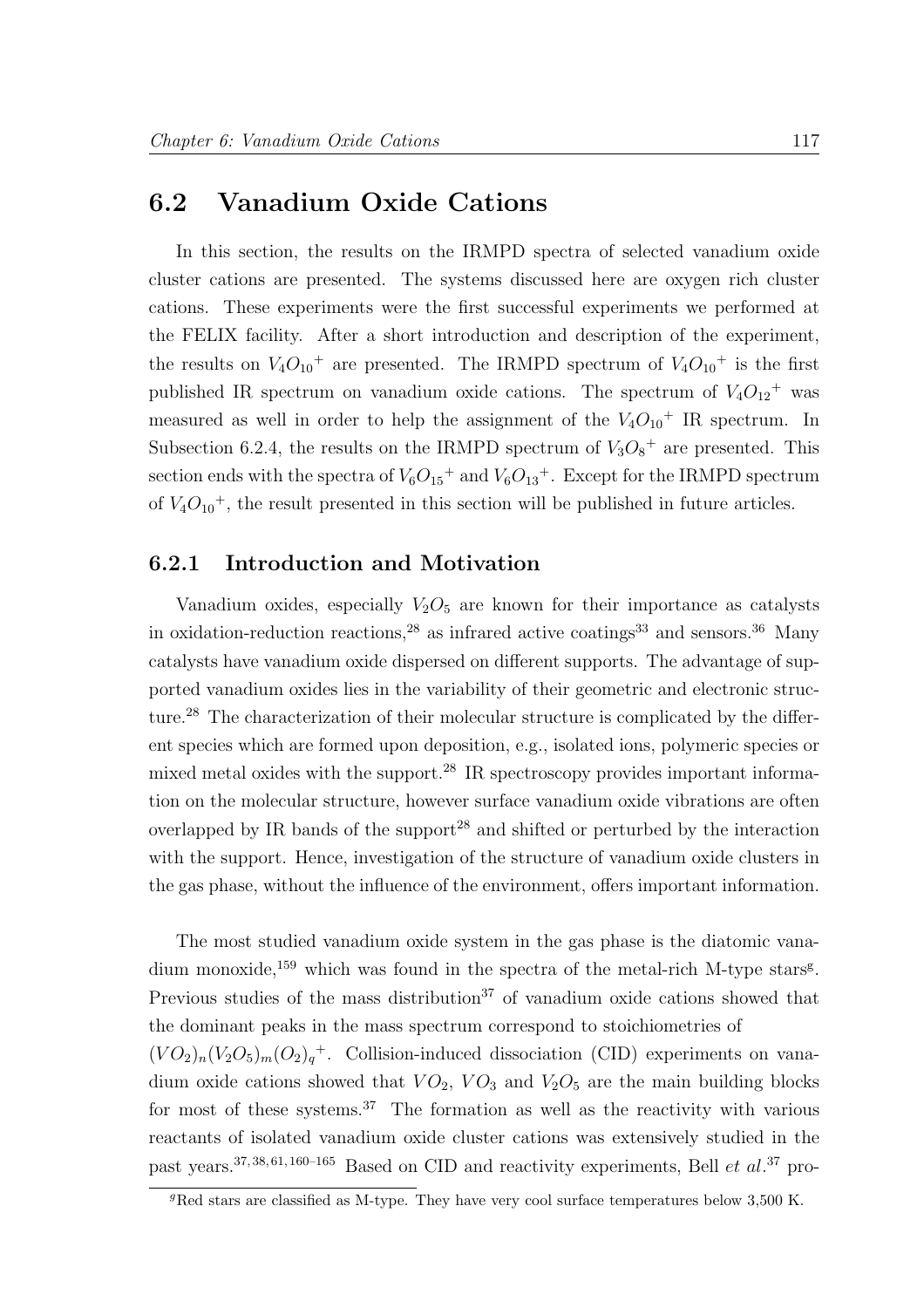### 6.2 Vanadium Oxide Cations

In this section, the results on the IRMPD spectra of selected vanadium oxide cluster cations are presented. The systems discussed here are oxygen rich cluster cations. These experiments were the first successful experiments we performed at the FELIX facility. After a short introduction and description of the experiment, the results on  $V_4O_{10}$ <sup>+</sup> are presented. The IRMPD spectrum of  $V_4O_{10}$ <sup>+</sup> is the first published IR spectrum on vanadium oxide cations. The spectrum of  $V_4O_{12}$ <sup>+</sup> was measured as well in order to help the assignment of the  $V_4O_{10}$ <sup>+</sup> IR spectrum. In Subsection 6.2.4, the results on the IRMPD spectrum of  $V_3O_8^+$  are presented. This section ends with the spectra of  $V_6O_{15}$ <sup>+</sup> and  $V_6O_{13}$ <sup>+</sup>. Except for the IRMPD spectrum of  $V_4O_{10}$ <sup>+</sup>, the result presented in this section will be published in future articles.

#### 6.2.1 Introduction and Motivation

Vanadium oxides, especially  $V_2O_5$  are known for their importance as catalysts in oxidation-reduction reactions,<sup>28</sup> as infrared active coatings<sup>33</sup> and sensors.<sup>36</sup> Many catalysts have vanadium oxide dispersed on different supports. The advantage of supported vanadium oxides lies in the variability of their geometric and electronic structure.<sup>28</sup> The characterization of their molecular structure is complicated by the different species which are formed upon deposition, e.g., isolated ions, polymeric species or mixed metal oxides with the support.<sup>28</sup> IR spectroscopy provides important information on the molecular structure, however surface vanadium oxide vibrations are often overlapped by IR bands of the support<sup>28</sup> and shifted or perturbed by the interaction with the support. Hence, investigation of the structure of vanadium oxide clusters in the gas phase, without the influence of the environment, offers important information.

The most studied vanadium oxide system in the gas phase is the diatomic vanadium monoxide,<sup>159</sup> which was found in the spectra of the metal-rich M-type stars<sup>g</sup>. Previous studies of the mass distribution<sup>37</sup> of vanadium oxide cations showed that the dominant peaks in the mass spectrum correspond to stoichiometries of  $(VO_2)_n(V_2O_5)_m(O_2)_q^+$ . Collision-induced dissociation (CID) experiments on vanadium oxide cations showed that  $VO_2$ ,  $VO_3$  and  $V_2O_5$  are the main building blocks for most of these systems.<sup>37</sup> The formation as well as the reactivity with various reactants of isolated vanadium oxide cluster cations was extensively studied in the past years.<sup>37, 38, 61, 160–165</sup> Based on CID and reactivity experiments, Bell  $et$   $al.^{37}$  pro-

 $\overline{g_{\rm Red}}$  stars are classified as M-type. They have very cool surface temperatures below 3,500 K.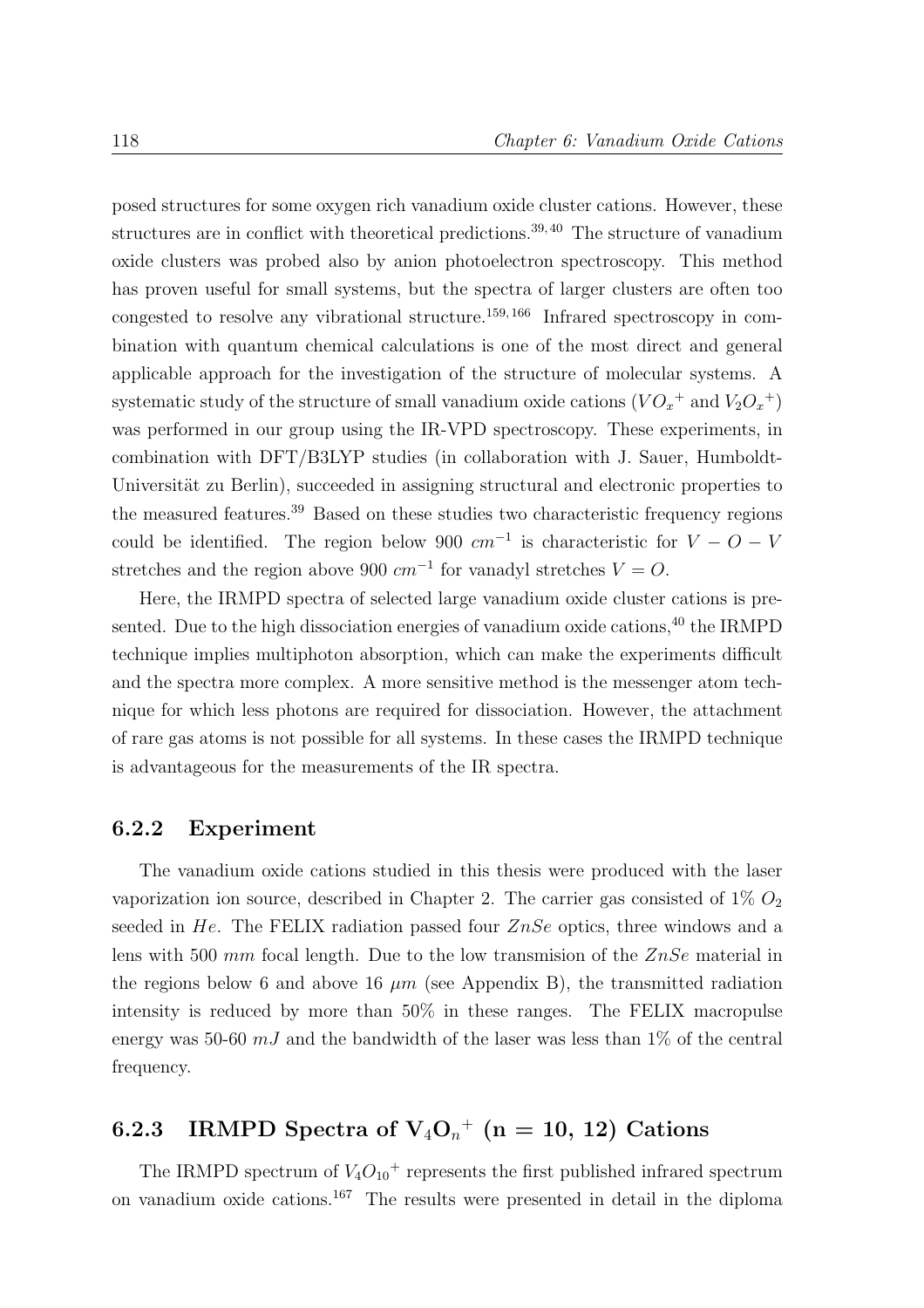posed structures for some oxygen rich vanadium oxide cluster cations. However, these structures are in conflict with theoretical predictions.<sup>39, 40</sup> The structure of vanadium oxide clusters was probed also by anion photoelectron spectroscopy. This method has proven useful for small systems, but the spectra of larger clusters are often too congested to resolve any vibrational structure.159, 166 Infrared spectroscopy in combination with quantum chemical calculations is one of the most direct and general applicable approach for the investigation of the structure of molecular systems. A systematic study of the structure of small vanadium oxide cations  $(VO_x^+$  and  $V_2O_x^+)$ was performed in our group using the IR-VPD spectroscopy. These experiments, in combination with DFT/B3LYP studies (in collaboration with J. Sauer, Humboldt-Universität zu Berlin), succeeded in assigning structural and electronic properties to the measured features.<sup>39</sup> Based on these studies two characteristic frequency regions could be identified. The region below 900  $cm^{-1}$  is characteristic for  $V - O - V$ stretches and the region above 900  $cm^{-1}$  for vanadyl stretches  $V = O$ .

Here, the IRMPD spectra of selected large vanadium oxide cluster cations is presented. Due to the high dissociation energies of vanadium oxide cations,  $40$  the IRMPD technique implies multiphoton absorption, which can make the experiments difficult and the spectra more complex. A more sensitive method is the messenger atom technique for which less photons are required for dissociation. However, the attachment of rare gas atoms is not possible for all systems. In these cases the IRMPD technique is advantageous for the measurements of the IR spectra.

#### 6.2.2 Experiment

The vanadium oxide cations studied in this thesis were produced with the laser vaporization ion source, described in Chapter 2. The carrier gas consisted of  $1\%$   $O_2$ seeded in He. The FELIX radiation passed four ZnSe optics, three windows and a lens with 500 mm focal length. Due to the low transmision of the  $ZnSe$  material in the regions below 6 and above 16  $\mu$ m (see Appendix B), the transmitted radiation intensity is reduced by more than 50% in these ranges. The FELIX macropulse energy was 50-60  $mJ$  and the bandwidth of the laser was less than 1\% of the central frequency.

## $\, 6.2.3\quad \mathrm{IRMPD}\,\, \mathrm{Spectra}\,\, \mathrm{of}\,\, \mathrm{V_4O_{\mathit{n}}}^+\,\, (\mathrm{n}=10,\,12)\,\, \mathrm{Cations}$

The IRMPD spectrum of  $V_4O_{10}$ <sup>+</sup> represents the first published infrared spectrum on vanadium oxide cations.<sup>167</sup> The results were presented in detail in the diploma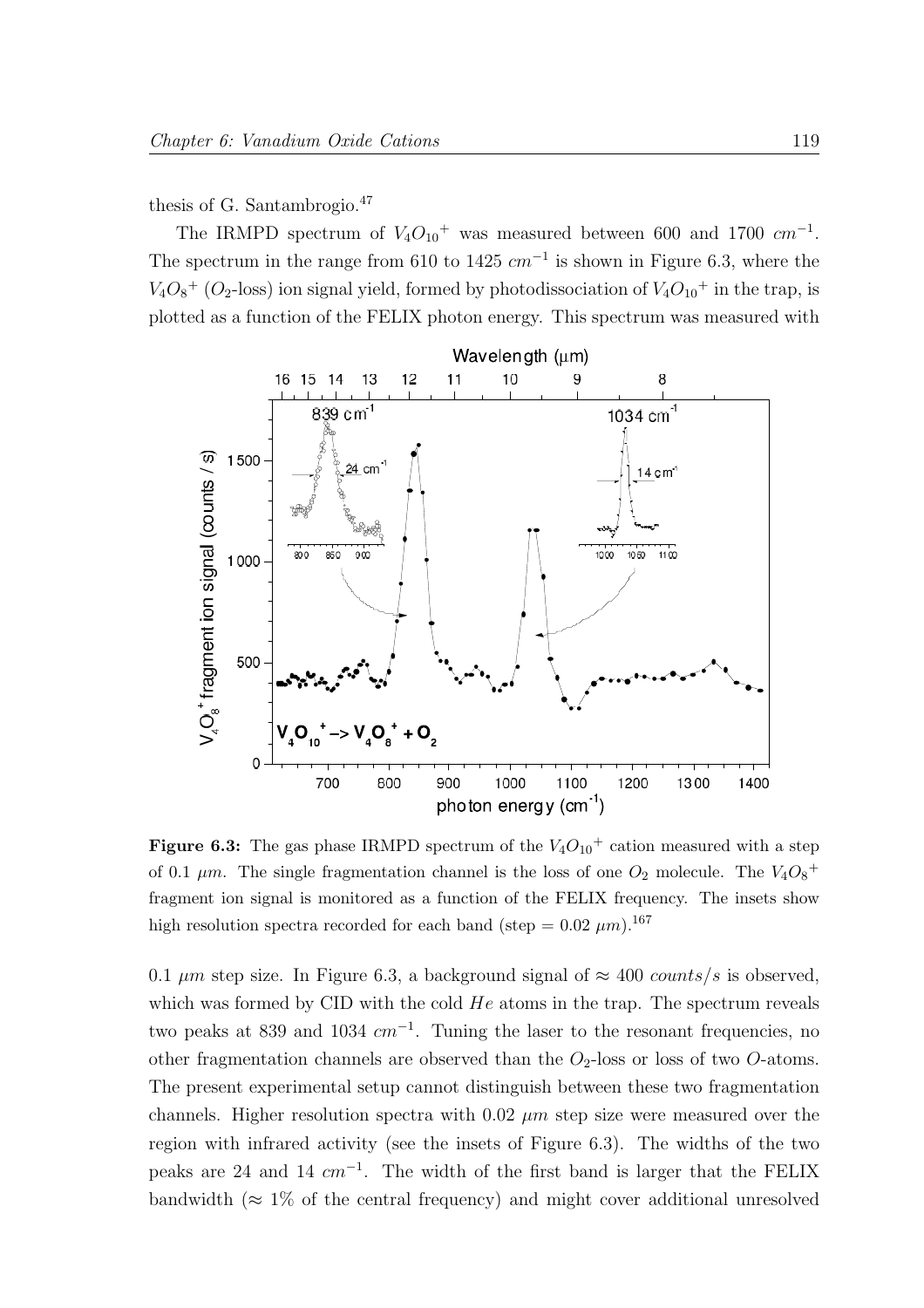#### thesis of G. Santambrogio.<sup>47</sup>

The IRMPD spectrum of  $V_4O_{10}$ <sup>+</sup> was measured between 600 and 1700  $cm^{-1}$ . The spectrum in the range from 610 to 1425  $cm^{-1}$  is shown in Figure 6.3, where the  $V_4O_8^+$  ( $O_2$ -loss) ion signal yield, formed by photodissociation of  $V_4O_{10}^+$  in the trap, is plotted as a function of the FELIX photon energy. This spectrum was measured with



Figure 6.3: The gas phase IRMPD spectrum of the  $V_4O_{10}$ <sup>+</sup> cation measured with a step of 0.1  $\mu$ m. The single fragmentation channel is the loss of one  $O_2$  molecule. The  $V_4O_8^+$ fragment ion signal is monitored as a function of the FELIX frequency. The insets show high resolution spectra recorded for each band (step =  $0.02 \ \mu m$ ).<sup>167</sup>

0.1  $\mu$ m step size. In Figure 6.3, a background signal of  $\approx$  400 counts/s is observed, which was formed by CID with the cold  $He$  atoms in the trap. The spectrum reveals two peaks at 839 and 1034  $cm^{-1}$ . Tuning the laser to the resonant frequencies, no other fragmentation channels are observed than the  $O_2$ -loss or loss of two  $O$ -atoms. The present experimental setup cannot distinguish between these two fragmentation channels. Higher resolution spectra with  $0.02 \mu m$  step size were measured over the region with infrared activity (see the insets of Figure 6.3). The widths of the two peaks are 24 and 14  $cm^{-1}$ . The width of the first band is larger that the FELIX bandwidth ( $\approx 1\%$  of the central frequency) and might cover additional unresolved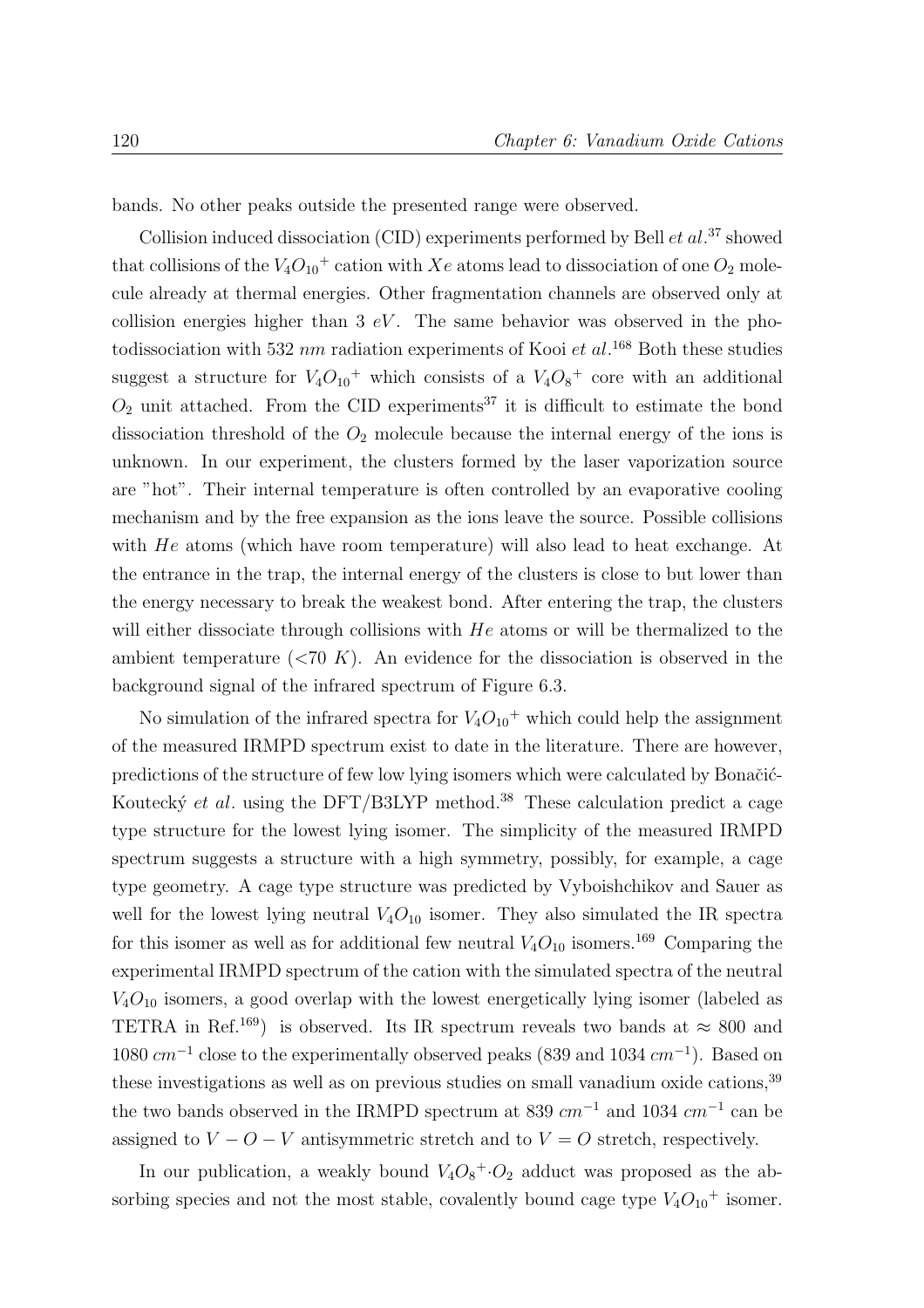bands. No other peaks outside the presented range were observed.

Collision induced dissociation (CID) experiments performed by Bell  $et al.^{37}$  showed that collisions of the  $V_4O_{10}$ <sup>+</sup> cation with Xe atoms lead to dissociation of one  $O_2$  molecule already at thermal energies. Other fragmentation channels are observed only at collision energies higher than  $3 eV$ . The same behavior was observed in the photodissociation with 532 nm radiation experiments of Kooi et al.<sup>168</sup> Both these studies suggest a structure for  $V_4O_{10}$ <sup>+</sup> which consists of a  $V_4O_8$ <sup>+</sup> core with an additional  $O_2$  unit attached. From the CID experiments<sup>37</sup> it is difficult to estimate the bond dissociation threshold of the  $O_2$  molecule because the internal energy of the ions is unknown. In our experiment, the clusters formed by the laser vaporization source are "hot". Their internal temperature is often controlled by an evaporative cooling mechanism and by the free expansion as the ions leave the source. Possible collisions with He atoms (which have room temperature) will also lead to heat exchange. At the entrance in the trap, the internal energy of the clusters is close to but lower than the energy necessary to break the weakest bond. After entering the trap, the clusters will either dissociate through collisions with  $He$  atoms or will be thermalized to the ambient temperature  $(*70 K*)$ . An evidence for the dissociation is observed in the background signal of the infrared spectrum of Figure 6.3.

No simulation of the infrared spectra for  $V_4O_{10}$ <sup>+</sup> which could help the assignment of the measured IRMPD spectrum exist to date in the literature. There are however, predictions of the structure of few low lying isomers which were calculated by Bonačić-Koutecký et al. using the DFT/B3LYP method.<sup>38</sup> These calculation predict a cage type structure for the lowest lying isomer. The simplicity of the measured IRMPD spectrum suggests a structure with a high symmetry, possibly, for example, a cage type geometry. A cage type structure was predicted by Vyboishchikov and Sauer as well for the lowest lying neutral  $V_4O_{10}$  isomer. They also simulated the IR spectra for this isomer as well as for additional few neutral  $V_4O_{10}$  isomers.<sup>169</sup> Comparing the experimental IRMPD spectrum of the cation with the simulated spectra of the neutral  $V_4O_{10}$  isomers, a good overlap with the lowest energetically lying isomer (labeled as TETRA in Ref.<sup>169</sup>) is observed. Its IR spectrum reveals two bands at  $\approx 800$  and  $1080 \text{ cm}^{-1}$  close to the experimentally observed peaks (839 and 1034  $\text{cm}^{-1}$ ). Based on these investigations as well as on previous studies on small vanadium oxide cations,<sup>39</sup> the two bands observed in the IRMPD spectrum at 839  $cm^{-1}$  and 1034  $cm^{-1}$  can be assigned to  $V - O - V$  antisymmetric stretch and to  $V = O$  stretch, respectively.

In our publication, a weakly bound  $V_4O_8^{\{+}\cdot O_2}$  adduct was proposed as the absorbing species and not the most stable, covalently bound cage type  $V_4O_{10}$ <sup>+</sup> isomer.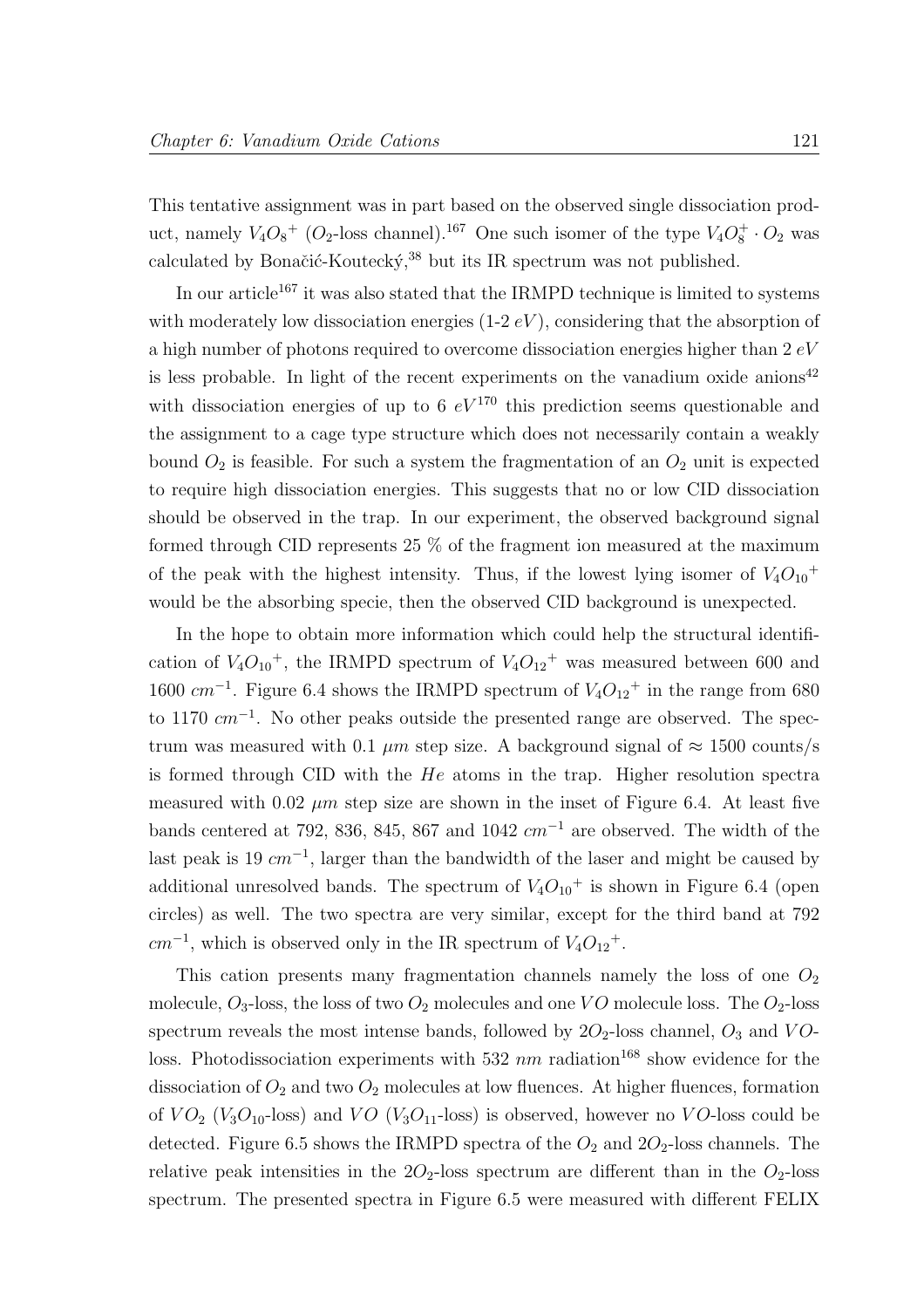This tentative assignment was in part based on the observed single dissociation product, namely  $V_4O_8^+$  ( $O_2$ -loss channel).<sup>167</sup> One such isomer of the type  $V_4O_8^+ \cdot O_2$  was calculated by Bonačić-Koutecký, $38$  but its IR spectrum was not published.

In our article<sup>167</sup> it was also stated that the IRMPD technique is limited to systems with moderately low dissociation energies  $(1-2 eV)$ , considering that the absorption of a high number of photons required to overcome dissociation energies higher than 2 eV is less probable. In light of the recent experiments on the vanadium oxide anions<sup>42</sup> with dissociation energies of up to 6  $eV^{170}$  this prediction seems questionable and the assignment to a cage type structure which does not necessarily contain a weakly bound  $O_2$  is feasible. For such a system the fragmentation of an  $O_2$  unit is expected to require high dissociation energies. This suggests that no or low CID dissociation should be observed in the trap. In our experiment, the observed background signal formed through CID represents 25 % of the fragment ion measured at the maximum of the peak with the highest intensity. Thus, if the lowest lying isomer of  $V_4O_{10}$ <sup>+</sup> would be the absorbing specie, then the observed CID background is unexpected.

In the hope to obtain more information which could help the structural identification of  $V_4O_{10}$ <sup>+</sup>, the IRMPD spectrum of  $V_4O_{12}$ <sup>+</sup> was measured between 600 and 1600  $cm^{-1}$ . Figure 6.4 shows the IRMPD spectrum of  $V_4O_{12}$ <sup>+</sup> in the range from 680 to 1170  $cm^{-1}$ . No other peaks outside the presented range are observed. The spectrum was measured with 0.1  $\mu$ m step size. A background signal of  $\approx$  1500 counts/s is formed through CID with the He atoms in the trap. Higher resolution spectra measured with 0.02  $\mu$ m step size are shown in the inset of Figure 6.4. At least five bands centered at 792, 836, 845, 867 and 1042  $cm^{-1}$  are observed. The width of the last peak is 19  $cm^{-1}$ , larger than the bandwidth of the laser and might be caused by additional unresolved bands. The spectrum of  $V_4O_{10}$ <sup>+</sup> is shown in Figure 6.4 (open circles) as well. The two spectra are very similar, except for the third band at 792  $cm^{-1}$ , which is observed only in the IR spectrum of  $V_4O_{12}^+$ .

This cation presents many fragmentation channels namely the loss of one  $O_2$ molecule,  $O_3$ -loss, the loss of two  $O_2$  molecules and one VO molecule loss. The  $O_2$ -loss spectrum reveals the most intense bands, followed by  $2O_2$ -loss channel,  $O_3$  and  $VO$ loss. Photodissociation experiments with 532  $nm$  radiation<sup>168</sup> show evidence for the dissociation of  $O_2$  and two  $O_2$  molecules at low fluences. At higher fluences, formation of  $VO_2$  ( $V_3O_{10}$ -loss) and  $VO$  ( $V_3O_{11}$ -loss) is observed, however no VO-loss could be detected. Figure 6.5 shows the IRMPD spectra of the  $O_2$  and  $2O_2$ -loss channels. The relative peak intensities in the  $2O_2$ -loss spectrum are different than in the  $O_2$ -loss spectrum. The presented spectra in Figure 6.5 were measured with different FELIX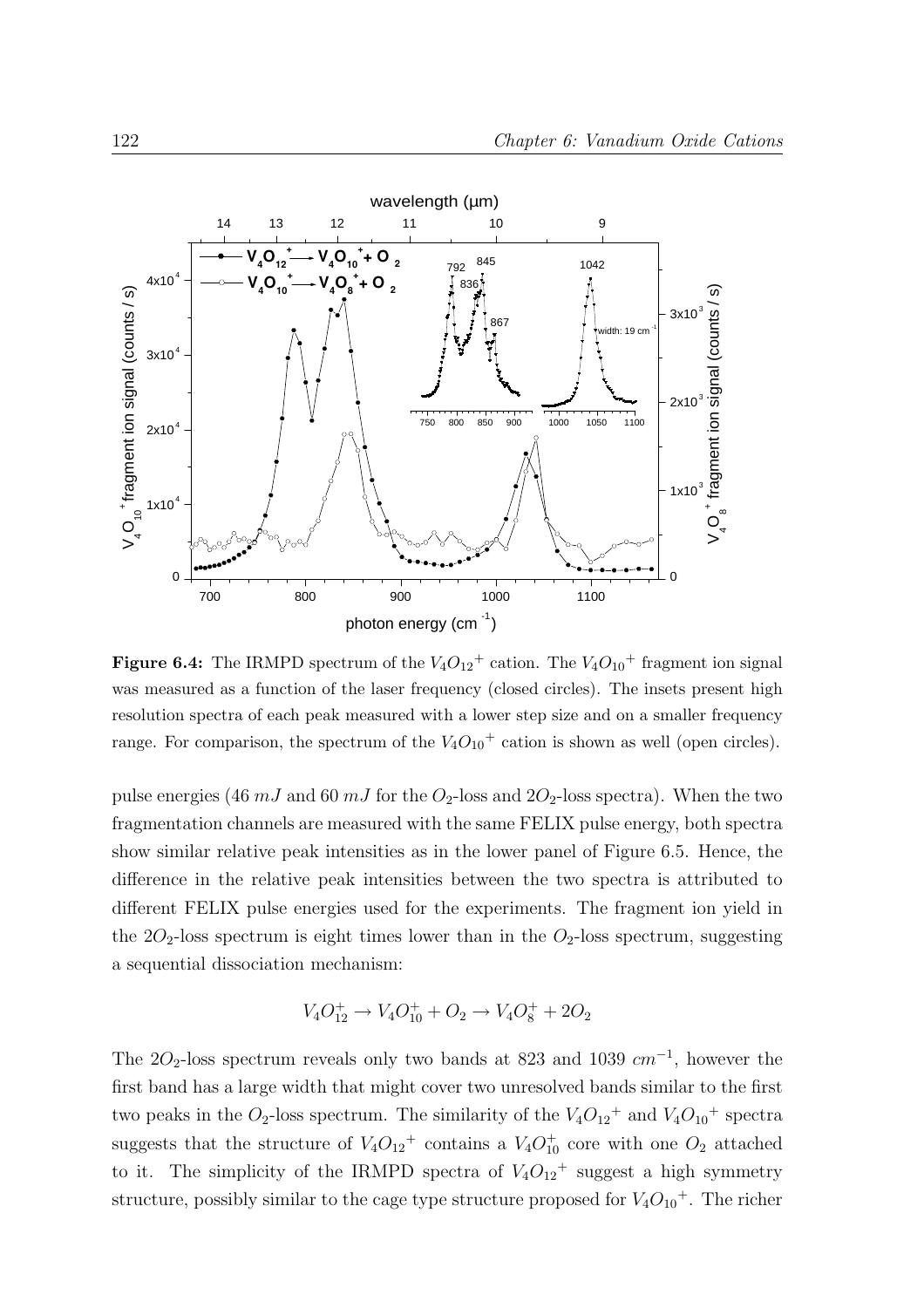

**Figure 6.4:** The IRMPD spectrum of the  $V_4O_{12}^+$  cation. The  $V_4O_{10}^+$  fragment ion signal was measured as a function of the laser frequency (closed circles). The insets present high resolution spectra of each peak measured with a lower step size and on a smaller frequency range. For comparison, the spectrum of the  $V_4O_{10}$ <sup>+</sup> cation is shown as well (open circles).

pulse energies (46  $mJ$  and 60  $mJ$  for the  $O_2$ -loss and  $2O_2$ -loss spectra). When the two fragmentation channels are measured with the same FELIX pulse energy, both spectra show similar relative peak intensities as in the lower panel of Figure 6.5. Hence, the difference in the relative peak intensities between the two spectra is attributed to different FELIX pulse energies used for the experiments. The fragment ion yield in the  $2O_2$ -loss spectrum is eight times lower than in the  $O_2$ -loss spectrum, suggesting a sequential dissociation mechanism:

$$
V_4O_{12}^+ \rightarrow V_4O_{10}^+ + O_2 \rightarrow V_4O_8^+ + 2O_2
$$

The 2O<sub>2</sub>-loss spectrum reveals only two bands at 823 and 1039  $cm^{-1}$ , however the first band has a large width that might cover two unresolved bands similar to the first two peaks in the  $O_2$ -loss spectrum. The similarity of the  $V_4O_{12}$ <sup>+</sup> and  $V_4O_{10}$ <sup>+</sup> spectra suggests that the structure of  $V_4O_{12}^+$  contains a  $V_4O_{10}^+$  core with one  $O_2$  attached to it. The simplicity of the IRMPD spectra of  $V_4O_{12}$ <sup>+</sup> suggest a high symmetry structure, possibly similar to the cage type structure proposed for  $V_4O_{10}$ <sup>+</sup>. The richer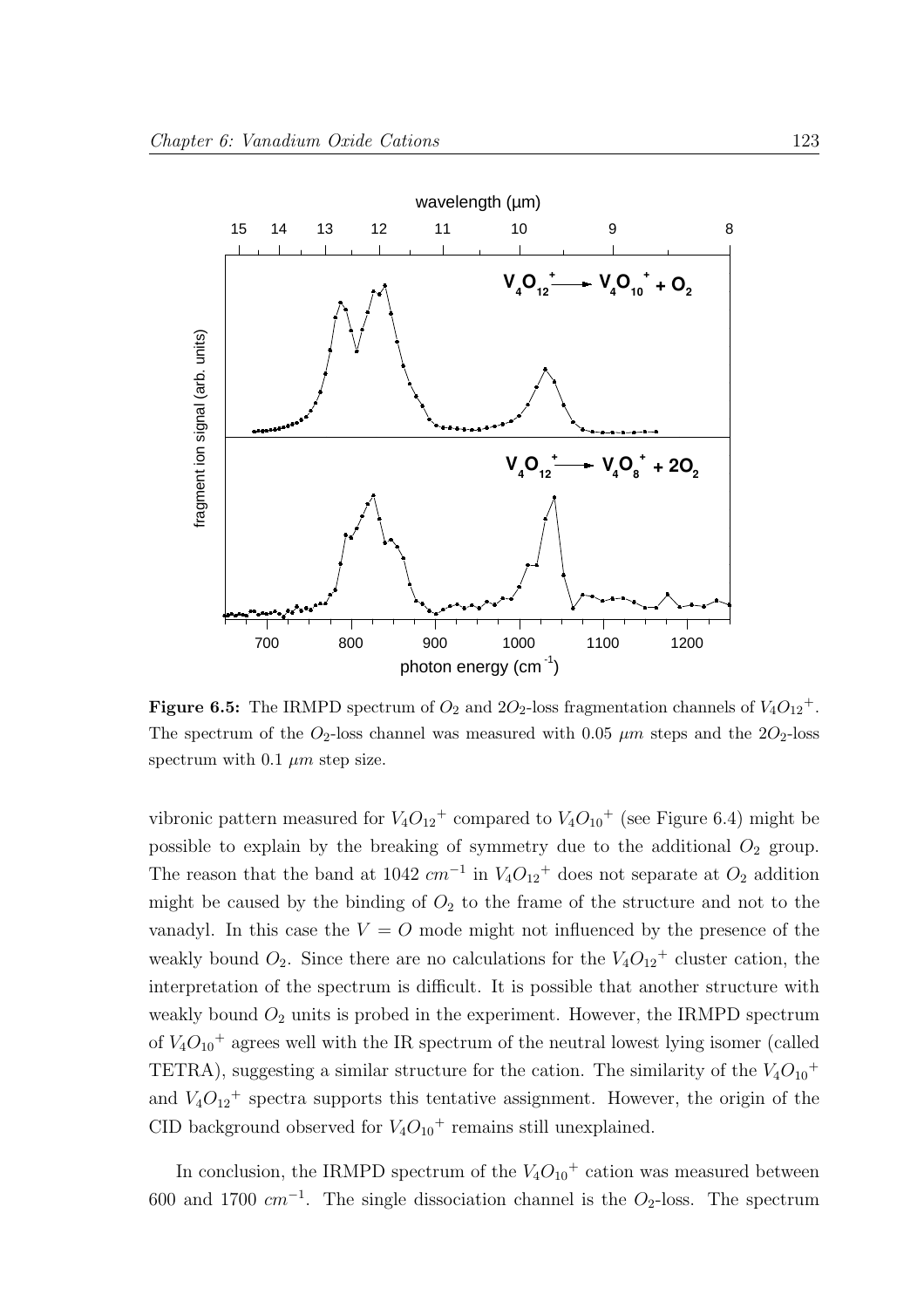

**Figure 6.5:** The IRMPD spectrum of  $O_2$  and  $2O_2$ -loss fragmentation channels of  $V_4O_{12}^+$ . The spectrum of the  $O_2$ -loss channel was measured with 0.05  $\mu$ m steps and the 2 $O_2$ -loss spectrum with 0.1  $\mu$ m step size.

vibronic pattern measured for  $V_4O_{12}$ <sup>+</sup> compared to  $V_4O_{10}$ <sup>+</sup> (see Figure 6.4) might be possible to explain by the breaking of symmetry due to the additional  $O_2$  group. The reason that the band at 1042  $cm^{-1}$  in  $V_4O_{12}$ <sup>+</sup> does not separate at  $O_2$  addition might be caused by the binding of  $O_2$  to the frame of the structure and not to the vanadyl. In this case the  $V = O$  mode might not influenced by the presence of the weakly bound  $O_2$ . Since there are no calculations for the  $V_4O_{12}$ <sup>+</sup> cluster cation, the interpretation of the spectrum is difficult. It is possible that another structure with weakly bound  $O_2$  units is probed in the experiment. However, the IRMPD spectrum of  $V_4O_{10}$ <sup>+</sup> agrees well with the IR spectrum of the neutral lowest lying isomer (called TETRA), suggesting a similar structure for the cation. The similarity of the  $V_4O_{10}$ <sup>+</sup> and  $V_4O_{12}$ <sup>+</sup> spectra supports this tentative assignment. However, the origin of the CID background observed for  $V_4O_{10}$ <sup>+</sup> remains still unexplained.

In conclusion, the IRMPD spectrum of the  $V_4O_{10}$ <sup>+</sup> cation was measured between 600 and 1700  $cm^{-1}$ . The single dissociation channel is the  $O<sub>2</sub>$ -loss. The spectrum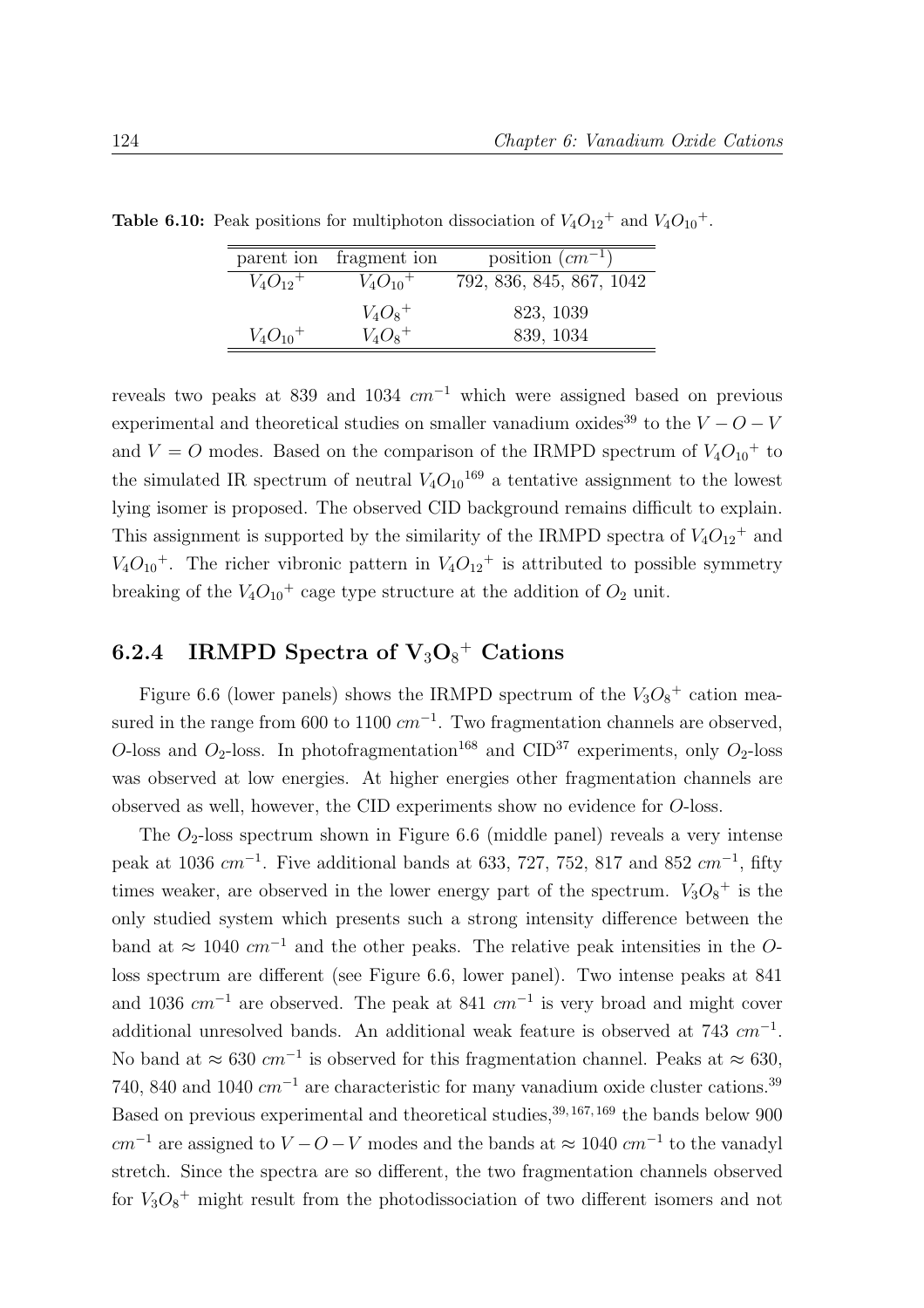|                          | parent ion fragment ion  | position $(cm^{-1})$     |
|--------------------------|--------------------------|--------------------------|
| $V_4O_{12}$ <sup>+</sup> | $V_4O_{10}$ <sup>+</sup> | 792, 836, 845, 867, 1042 |
|                          | $V_4O_8^+$               | 823, 1039                |
| $V_4O_{10}$ <sup>+</sup> | $V_4O_8^+$               | 839, 1034                |

**Table 6.10:** Peak positions for multiphoton dissociation of  $V_4O_{12}^+$  and  $V_4O_{10}^+$ .

reveals two peaks at 839 and 1034  $cm^{-1}$  which were assigned based on previous experimental and theoretical studies on smaller vanadium oxides<sup>39</sup> to the  $V - O - V$ and  $V = O$  modes. Based on the comparison of the IRMPD spectrum of  $V_4O_{10}$ <sup>+</sup> to the simulated IR spectrum of neutral  $V_4O_{10}^{169}$  a tentative assignment to the lowest lying isomer is proposed. The observed CID background remains difficult to explain. This assignment is supported by the similarity of the IRMPD spectra of  $V_4O_{12}$ <sup>+</sup> and  $V_4O_{10}$ <sup>+</sup>. The richer vibronic pattern in  $V_4O_{12}$ <sup>+</sup> is attributed to possible symmetry breaking of the  $V_4O_{10}$ <sup>+</sup> cage type structure at the addition of  $O_2$  unit.

## 6.2.4 IRMPD Spectra of  $\text{V}_3\text{O}_8^+$  Cations

Figure 6.6 (lower panels) shows the IRMPD spectrum of the  $V_3O_8$ <sup>+</sup> cation measured in the range from 600 to 1100  $cm^{-1}$ . Two fragmentation channels are observed, O-loss and  $O_2$ -loss. In photofragmentation<sup>168</sup> and CID<sup>37</sup> experiments, only  $O_2$ -loss was observed at low energies. At higher energies other fragmentation channels are observed as well, however, the CID experiments show no evidence for O-loss.

The  $O_2$ -loss spectrum shown in Figure 6.6 (middle panel) reveals a very intense peak at 1036  $cm^{-1}$ . Five additional bands at 633, 727, 752, 817 and 852  $cm^{-1}$ , fifty times weaker, are observed in the lower energy part of the spectrum.  $V_3O_8^+$  is the only studied system which presents such a strong intensity difference between the band at  $\approx 1040$  cm<sup>-1</sup> and the other peaks. The relative peak intensities in the Oloss spectrum are different (see Figure 6.6, lower panel). Two intense peaks at 841 and 1036  $cm^{-1}$  are observed. The peak at 841  $cm^{-1}$  is very broad and might cover additional unresolved bands. An additional weak feature is observed at  $743$   $cm^{-1}$ . No band at  $\approx 630$   $cm^{-1}$  is observed for this fragmentation channel. Peaks at  $\approx 630$ , 740, 840 and 1040  $cm^{-1}$  are characteristic for many vanadium oxide cluster cations.<sup>39</sup> Based on previous experimental and theoretical studies,  $39,167,169$  the bands below 900  $cm^{-1}$  are assigned to  $V - O - V$  modes and the bands at  $\approx 1040$   $cm^{-1}$  to the vanadyl stretch. Since the spectra are so different, the two fragmentation channels observed for  $V_3O_8$ <sup>+</sup> might result from the photodissociation of two different isomers and not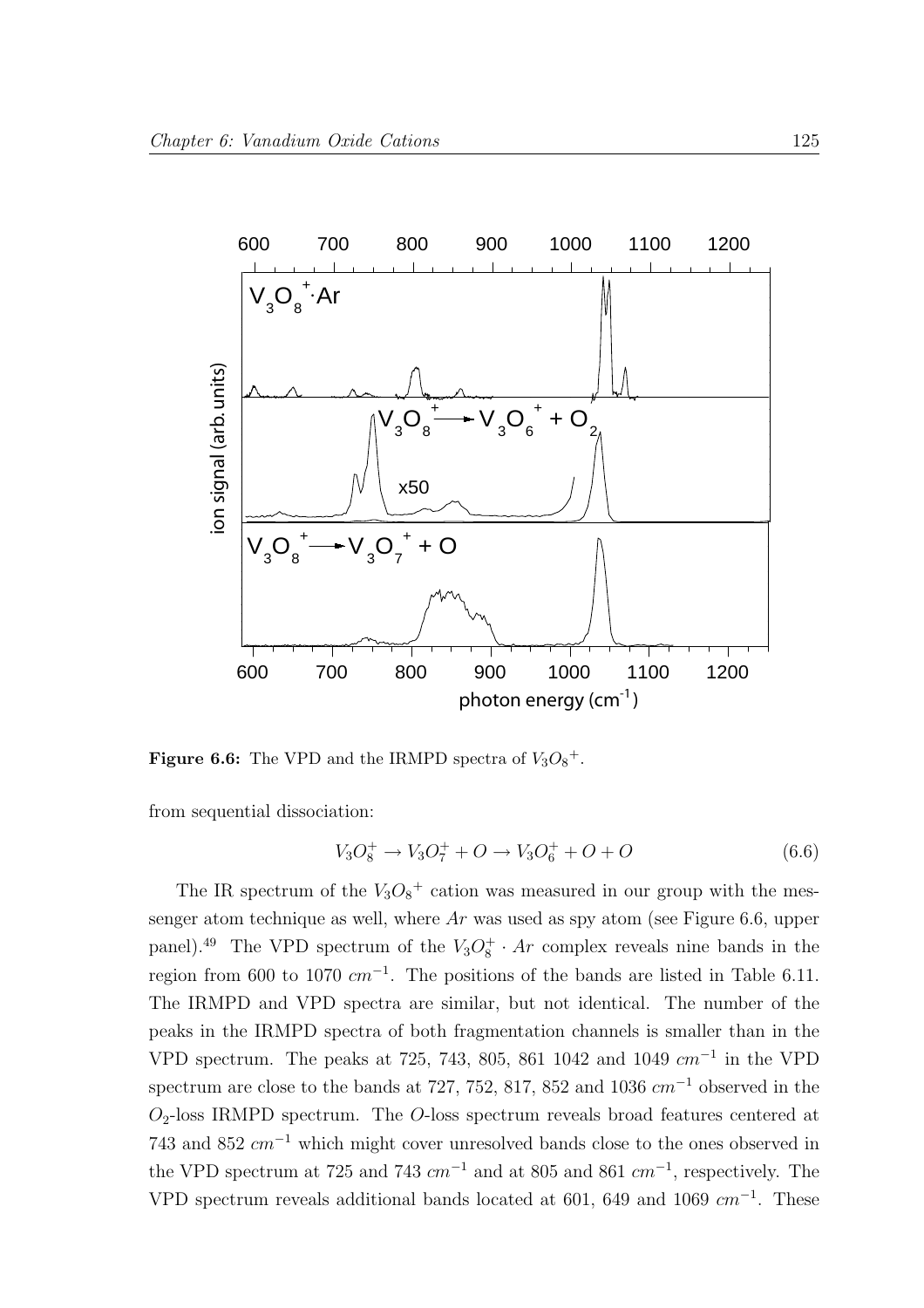

**Figure 6.6:** The VPD and the IRMPD spectra of  $V_3O_8^+$ .

from sequential dissociation:

$$
V_3O_8^+ \to V_3O_7^+ + O \to V_3O_6^+ + O + O \tag{6.6}
$$

The IR spectrum of the  $V_3O_8^+$  cation was measured in our group with the messenger atom technique as well, where  $Ar$  was used as spy atom (see Figure 6.6, upper panel).<sup>49</sup> The VPD spectrum of the  $V_3O_8^+ \cdot Ar$  complex reveals nine bands in the region from 600 to 1070  $cm^{-1}$ . The positions of the bands are listed in Table 6.11. The IRMPD and VPD spectra are similar, but not identical. The number of the peaks in the IRMPD spectra of both fragmentation channels is smaller than in the VPD spectrum. The peaks at 725, 743, 805, 861 1042 and 1049  $cm^{-1}$  in the VPD spectrum are close to the bands at 727, 752, 817, 852 and 1036  $cm^{-1}$  observed in the  $O_2$ -loss IRMPD spectrum. The *O*-loss spectrum reveals broad features centered at 743 and 852  $cm^{-1}$  which might cover unresolved bands close to the ones observed in the VPD spectrum at 725 and 743  $cm^{-1}$  and at 805 and 861  $cm^{-1}$ , respectively. The VPD spectrum reveals additional bands located at 601, 649 and 1069  $cm^{-1}$ . These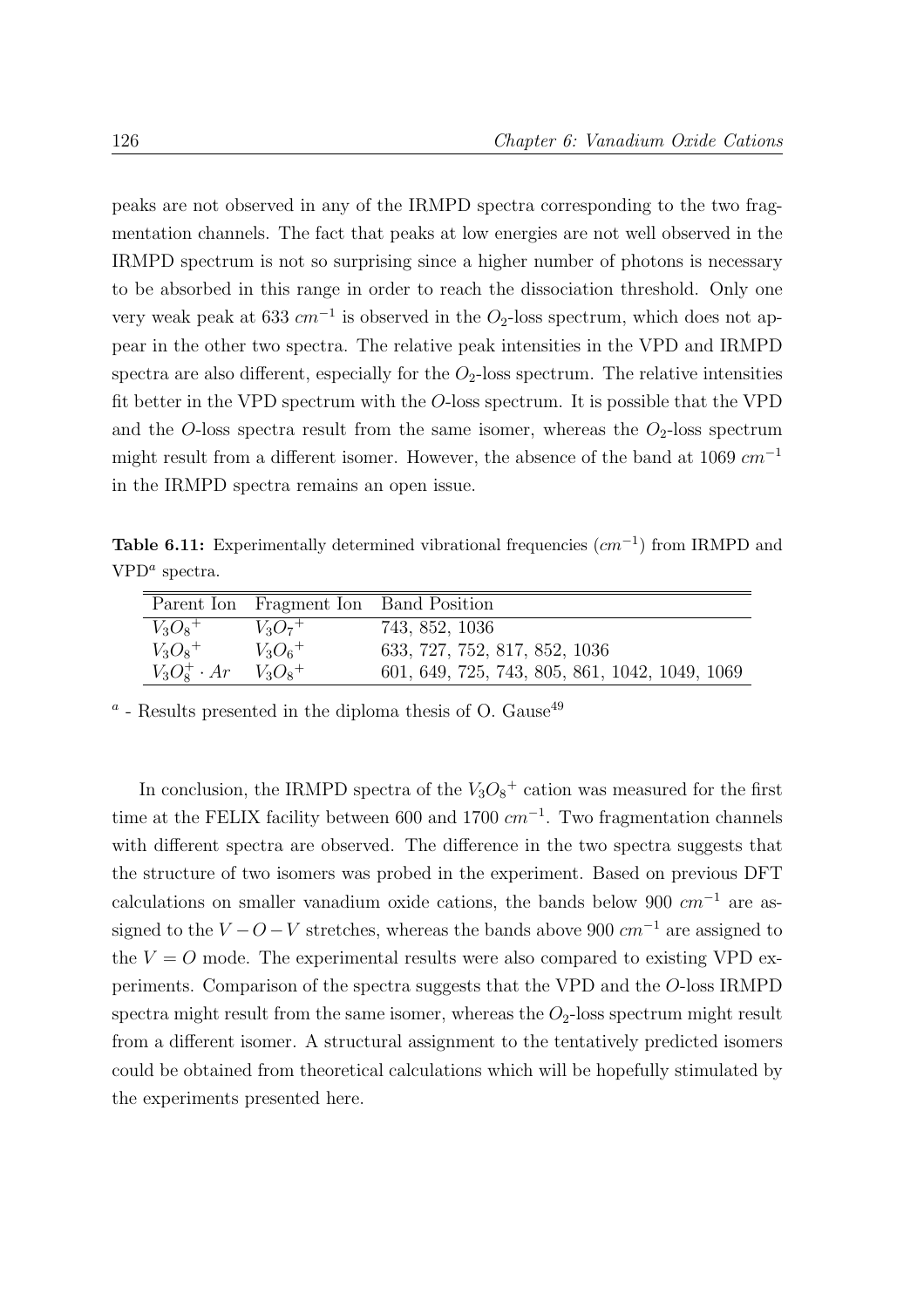peaks are not observed in any of the IRMPD spectra corresponding to the two fragmentation channels. The fact that peaks at low energies are not well observed in the IRMPD spectrum is not so surprising since a higher number of photons is necessary to be absorbed in this range in order to reach the dissociation threshold. Only one very weak peak at 633  $cm^{-1}$  is observed in the  $O_2$ -loss spectrum, which does not appear in the other two spectra. The relative peak intensities in the VPD and IRMPD spectra are also different, especially for the  $O<sub>2</sub>$ -loss spectrum. The relative intensities fit better in the VPD spectrum with the O-loss spectrum. It is possible that the VPD and the O-loss spectra result from the same isomer, whereas the  $O_2$ -loss spectrum might result from a different isomer. However, the absence of the band at 1069  $cm^{-1}$ in the IRMPD spectra remains an open issue.

Table 6.11: Experimentally determined vibrational frequencies  $(cm<sup>-1</sup>)$  from IRMPD and  $VPD<sup>a</sup>$  spectra.

|                                | Parent Ion Fragment Ion Band Position |                                                |
|--------------------------------|---------------------------------------|------------------------------------------------|
| $V_3O_8^+$                     | $V_3O_7$ <sup>+</sup>                 | 743, 852, 1036                                 |
| $V_3O_8^+$                     | $V_3O_6^+$                            | 633, 727, 752, 817, 852, 1036                  |
| $V_3O_8^+ \cdot Ar$ $V_3O_8^+$ |                                       | 601, 649, 725, 743, 805, 861, 1042, 1049, 1069 |

 $a$  - Results presented in the diploma thesis of O. Gause<sup>49</sup>

In conclusion, the IRMPD spectra of the  $V_3O_8$ <sup>+</sup> cation was measured for the first time at the FELIX facility between 600 and 1700  $cm^{-1}$ . Two fragmentation channels with different spectra are observed. The difference in the two spectra suggests that the structure of two isomers was probed in the experiment. Based on previous DFT calculations on smaller vanadium oxide cations, the bands below 900  $cm^{-1}$  are assigned to the  $V - O - V$  stretches, whereas the bands above 900  $cm^{-1}$  are assigned to the  $V = O$  mode. The experimental results were also compared to existing VPD experiments. Comparison of the spectra suggests that the VPD and the O-loss IRMPD spectra might result from the same isomer, whereas the  $O_2$ -loss spectrum might result from a different isomer. A structural assignment to the tentatively predicted isomers could be obtained from theoretical calculations which will be hopefully stimulated by the experiments presented here.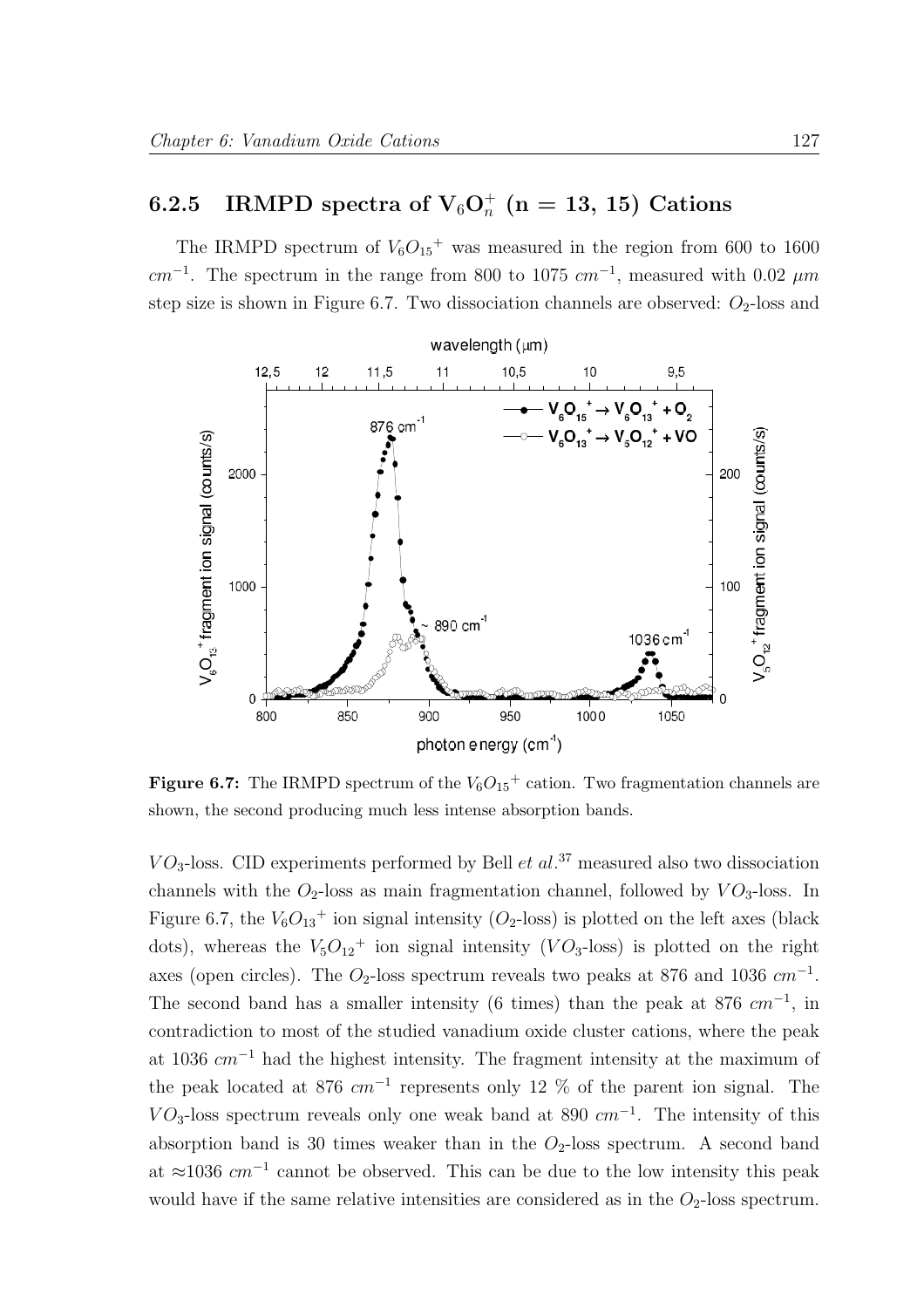# $\, 6.2.5\quad \mathrm{IRMPD}\,\, \mathrm{spectra\,\, of}\,\, V_6O_n^+\,\, (n=13,\,15)\,\, \mathrm{Cations}$

The IRMPD spectrum of  $V_6O_{15}$ <sup>+</sup> was measured in the region from 600 to 1600  $cm^{-1}$ . The spectrum in the range from 800 to 1075  $cm^{-1}$ , measured with 0.02  $\mu m$ step size is shown in Figure 6.7. Two dissociation channels are observed:  $O_2$ -loss and



**Figure 6.7:** The IRMPD spectrum of the  $V_6O_{15}^+$  cation. Two fragmentation channels are shown, the second producing much less intense absorption bands.

 $VO<sub>3</sub>$ -loss. CID experiments performed by Bell *et al.*<sup>37</sup> measured also two dissociation channels with the  $O_2$ -loss as main fragmentation channel, followed by  $VO_3$ -loss. In Figure 6.7, the  $V_6O_{13}$ <sup>+</sup> ion signal intensity ( $O_2$ -loss) is plotted on the left axes (black dots), whereas the  $V_5O_{12}$ <sup>+</sup> ion signal intensity (VO<sub>3</sub>-loss) is plotted on the right axes (open circles). The  $O_2$ -loss spectrum reveals two peaks at 876 and 1036  $cm^{-1}$ . The second band has a smaller intensity (6 times) than the peak at 876  $cm^{-1}$ , in contradiction to most of the studied vanadium oxide cluster cations, where the peak at 1036  $cm^{-1}$  had the highest intensity. The fragment intensity at the maximum of the peak located at 876  $cm^{-1}$  represents only 12 % of the parent ion signal. The  $VO<sub>3</sub>$ -loss spectrum reveals only one weak band at 890  $cm<sup>-1</sup>$ . The intensity of this absorption band is 30 times weaker than in the  $O<sub>2</sub>$ -loss spectrum. A second band at  $\approx$ 1036  $cm^{-1}$  cannot be observed. This can be due to the low intensity this peak would have if the same relative intensities are considered as in the  $O_2$ -loss spectrum.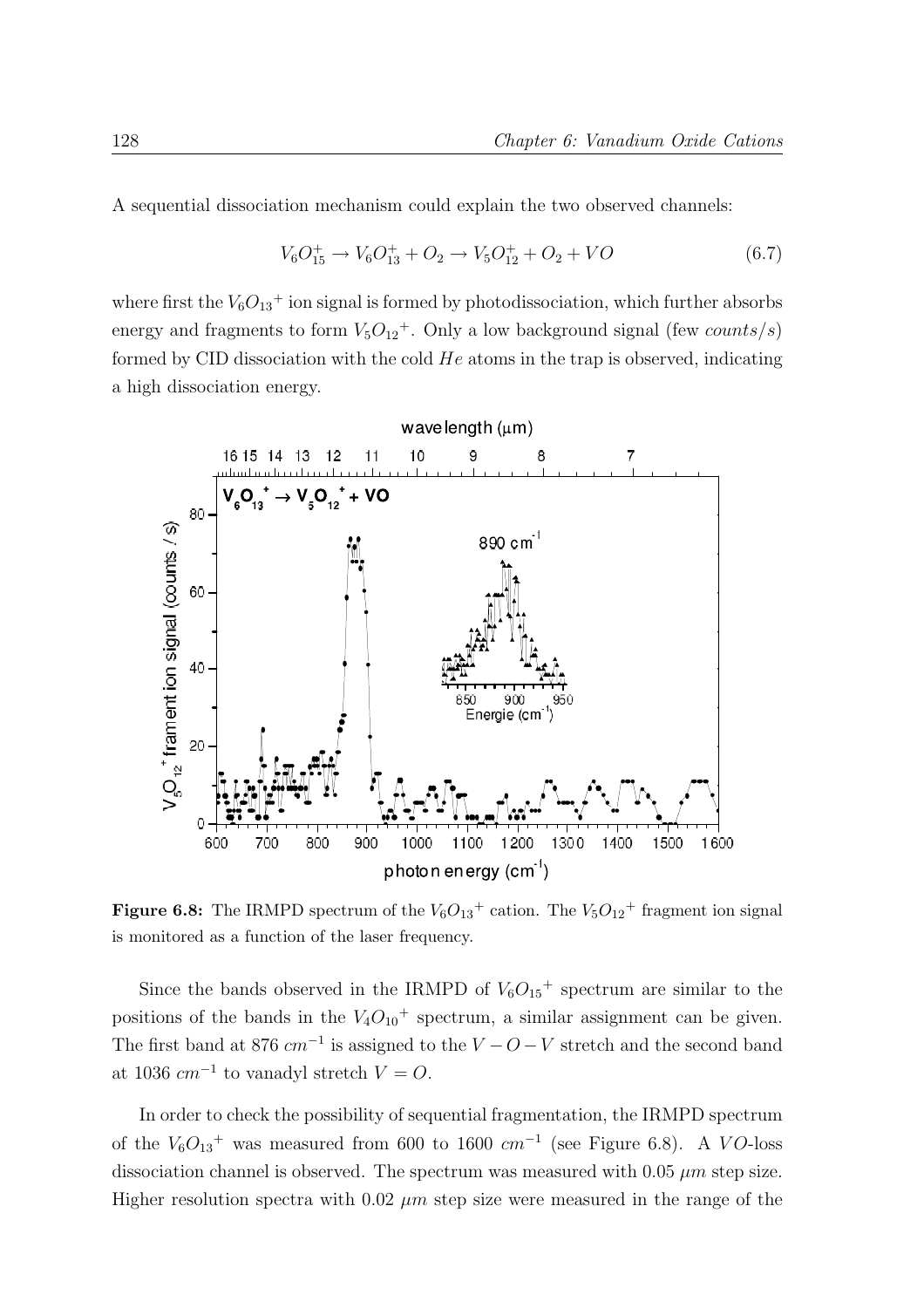A sequential dissociation mechanism could explain the two observed channels:

$$
V_6O_{15}^+ \to V_6O_{13}^+ + O_2 \to V_5O_{12}^+ + O_2 + VO \tag{6.7}
$$

where first the  $V_6O_{13}$ <sup>+</sup> ion signal is formed by photodissociation, which further absorbs energy and fragments to form  $V_5O_{12}$ <sup>+</sup>. Only a low background signal (few *counts/s*) formed by CID dissociation with the cold  $He$  atoms in the trap is observed, indicating a high dissociation energy.



**Figure 6.8:** The IRMPD spectrum of the  $V_6O_{13}^+$  cation. The  $V_5O_{12}^+$  fragment ion signal is monitored as a function of the laser frequency.

Since the bands observed in the IRMPD of  $V_6O_{15}$ <sup>+</sup> spectrum are similar to the positions of the bands in the  $V_4O_{10}$ <sup>+</sup> spectrum, a similar assignment can be given. The first band at 876  $cm^{-1}$  is assigned to the  $V - O - V$  stretch and the second band at 1036  $cm^{-1}$  to vanadyl stretch  $V = O$ .

In order to check the possibility of sequential fragmentation, the IRMPD spectrum of the  $V_6O_{13}$ <sup>+</sup> was measured from 600 to 1600  $cm^{-1}$  (see Figure 6.8). A VO-loss dissociation channel is observed. The spectrum was measured with 0.05  $\mu$ m step size. Higher resolution spectra with 0.02  $\mu$ m step size were measured in the range of the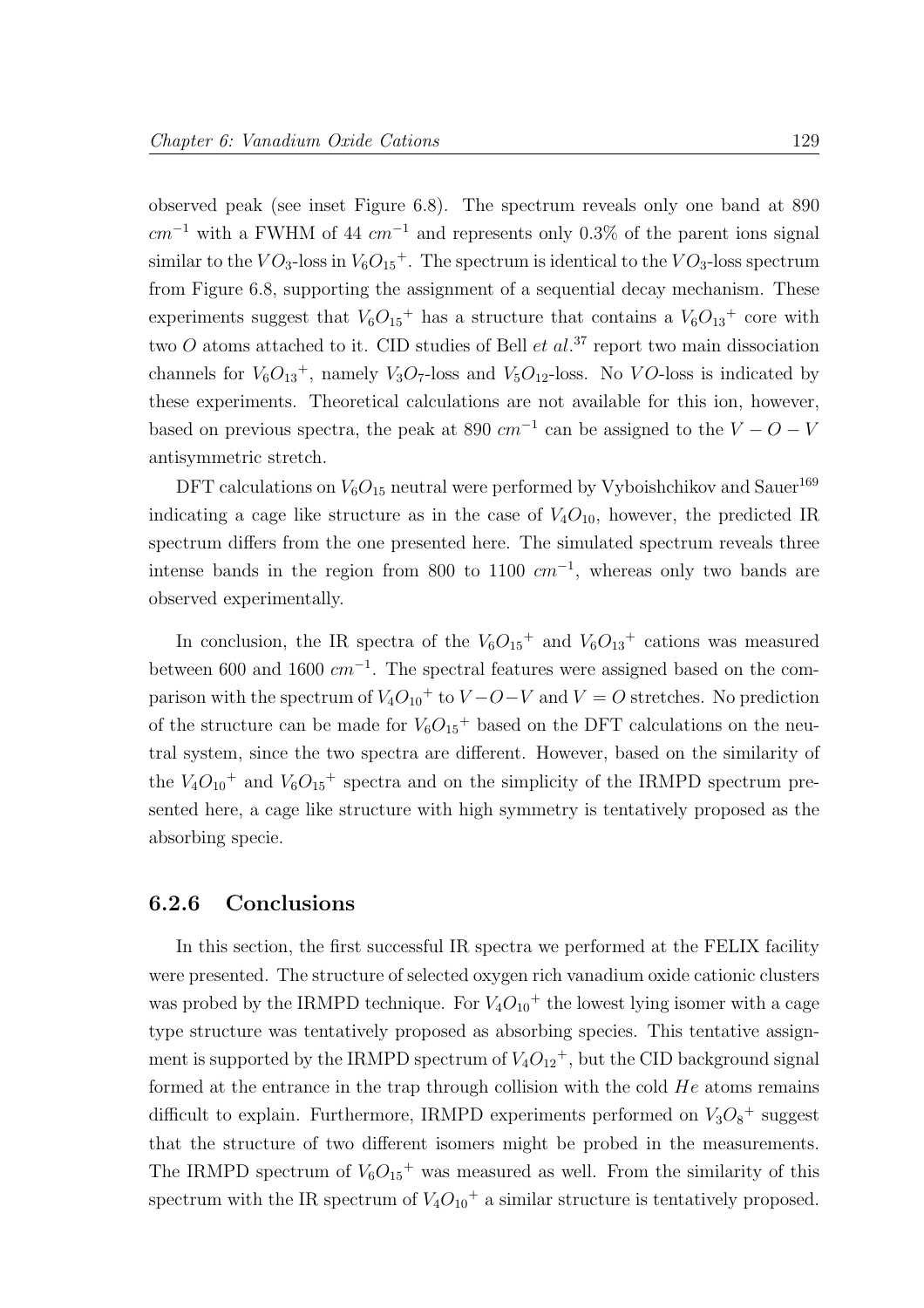observed peak (see inset Figure 6.8). The spectrum reveals only one band at 890  $cm^{-1}$  with a FWHM of 44  $cm^{-1}$  and represents only 0.3% of the parent ions signal similar to the  $VO_3$ -loss in  $V_6O_{15}$ <sup>+</sup>. The spectrum is identical to the  $VO_3$ -loss spectrum from Figure 6.8, supporting the assignment of a sequential decay mechanism. These experiments suggest that  $V_6O_{15}$ <sup>+</sup> has a structure that contains a  $V_6O_{13}$ <sup>+</sup> core with two  $O$  atoms attached to it. CID studies of Bell *et al.*<sup>37</sup> report two main dissociation channels for  $V_6O_{13}^+$ , namely  $V_3O_7$ -loss and  $V_5O_{12}$ -loss. No VO-loss is indicated by these experiments. Theoretical calculations are not available for this ion, however, based on previous spectra, the peak at 890  $cm^{-1}$  can be assigned to the  $V - O - V$ antisymmetric stretch.

DFT calculations on  $V_6O_{15}$  neutral were performed by Vyboishchikov and Sauer<sup>169</sup> indicating a cage like structure as in the case of  $V_4O_{10}$ , however, the predicted IR spectrum differs from the one presented here. The simulated spectrum reveals three intense bands in the region from 800 to 1100  $cm^{-1}$ , whereas only two bands are observed experimentally.

In conclusion, the IR spectra of the  $V_6O_{15}$ <sup>+</sup> and  $V_6O_{13}$ <sup>+</sup> cations was measured between 600 and 1600  $cm^{-1}$ . The spectral features were assigned based on the comparison with the spectrum of  $V_4O_{10}$ <sup>+</sup> to  $V-O-V$  and  $V = O$  stretches. No prediction of the structure can be made for  $V_6O_{15}$ <sup>+</sup> based on the DFT calculations on the neutral system, since the two spectra are different. However, based on the similarity of the  $V_4O_{10}$ <sup>+</sup> and  $V_6O_{15}$ <sup>+</sup> spectra and on the simplicity of the IRMPD spectrum presented here, a cage like structure with high symmetry is tentatively proposed as the absorbing specie.

#### 6.2.6 Conclusions

In this section, the first successful IR spectra we performed at the FELIX facility were presented. The structure of selected oxygen rich vanadium oxide cationic clusters was probed by the IRMPD technique. For  $V_4O_{10}$ <sup>+</sup> the lowest lying isomer with a cage type structure was tentatively proposed as absorbing species. This tentative assignment is supported by the IRMPD spectrum of  $V_4O_{12}^+$ , but the CID background signal formed at the entrance in the trap through collision with the cold  $He$  atoms remains difficult to explain. Furthermore, IRMPD experiments performed on  $V_3O_8$ <sup>+</sup> suggest that the structure of two different isomers might be probed in the measurements. The IRMPD spectrum of  $V_6O_{15}$ <sup>+</sup> was measured as well. From the similarity of this spectrum with the IR spectrum of  $V_4O_{10}$ <sup>+</sup> a similar structure is tentatively proposed.